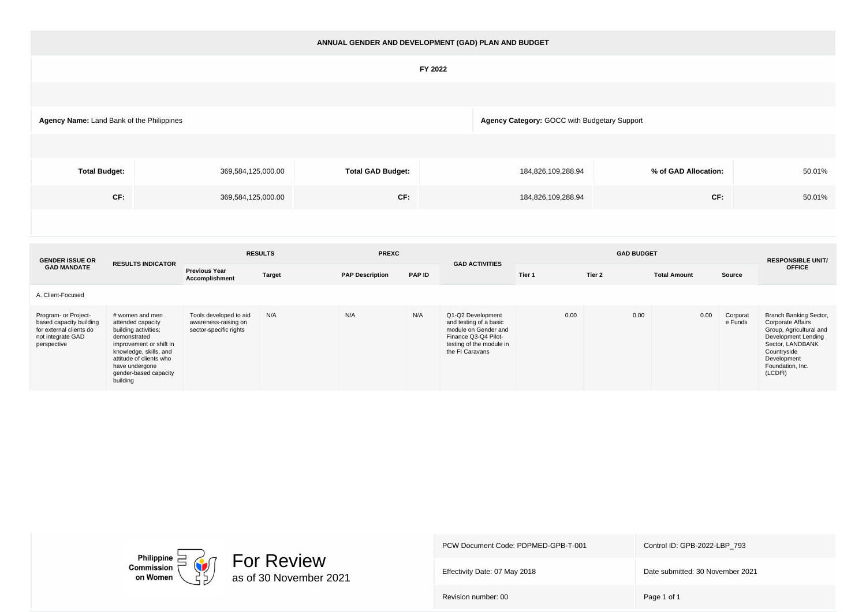| ANNUAL GENDER AND DEVELOPMENT (GAD) PLAN AND BUDGET |                                                                                           |                          |                    |                      |        |  |  |  |  |  |  |  |  |
|-----------------------------------------------------|-------------------------------------------------------------------------------------------|--------------------------|--------------------|----------------------|--------|--|--|--|--|--|--|--|--|
|                                                     | FY 2022                                                                                   |                          |                    |                      |        |  |  |  |  |  |  |  |  |
|                                                     |                                                                                           |                          |                    |                      |        |  |  |  |  |  |  |  |  |
|                                                     | Agency Category: GOCC with Budgetary Support<br>Agency Name: Land Bank of the Philippines |                          |                    |                      |        |  |  |  |  |  |  |  |  |
|                                                     |                                                                                           |                          |                    |                      |        |  |  |  |  |  |  |  |  |
| <b>Total Budget:</b>                                | 369,584,125,000.00                                                                        | <b>Total GAD Budget:</b> | 184,826,109,288.94 | % of GAD Allocation: | 50.01% |  |  |  |  |  |  |  |  |
| CF:                                                 | CF:<br>CF:<br>184,826,109,288.94<br>50.01%<br>369,584,125,000.00                          |                          |                    |                      |        |  |  |  |  |  |  |  |  |
|                                                     |                                                                                           |                          |                    |                      |        |  |  |  |  |  |  |  |  |

| <b>GENDER ISSUE OR</b>                                                                                         | <b>RESULTS INDICATOR</b>                                                                                                                                                                                            | <b>RESULTS</b>                                                           |               | <b>PREXC</b>           |               | <b>GAD ACTIVITIES</b>                                                                                                                      |        | <b>RESPONSIBLE UNIT/</b> |                     |                     |                                                                                                                                                                                |
|----------------------------------------------------------------------------------------------------------------|---------------------------------------------------------------------------------------------------------------------------------------------------------------------------------------------------------------------|--------------------------------------------------------------------------|---------------|------------------------|---------------|--------------------------------------------------------------------------------------------------------------------------------------------|--------|--------------------------|---------------------|---------------------|--------------------------------------------------------------------------------------------------------------------------------------------------------------------------------|
| <b>GAD MANDATE</b>                                                                                             |                                                                                                                                                                                                                     | <b>Previous Year</b><br><b>Accomplishment</b>                            | <b>Target</b> | <b>PAP Description</b> | <b>PAP ID</b> |                                                                                                                                            | Tier 1 | Tier 2                   | <b>Total Amount</b> | Source              | <b>OFFICE</b>                                                                                                                                                                  |
| A. Client-Focused                                                                                              |                                                                                                                                                                                                                     |                                                                          |               |                        |               |                                                                                                                                            |        |                          |                     |                     |                                                                                                                                                                                |
| Program- or Project-<br>based capacity building<br>for external clients do<br>not integrate GAD<br>perspective | # women and men<br>attended capacity<br>building activities;<br>demonstrated<br>improvement or shift in<br>knowledge, skills, and<br>attitude of clients who<br>have undergone<br>gender-based capacity<br>building | Tools developed to aid<br>awareness-raising on<br>sector-specific rights | N/A           | N/A                    | N/A           | Q1-Q2 Development<br>and testing of a basic<br>module on Gender and<br>Finance Q3-Q4 Pilot-<br>testing of the module in<br>the FI Caravans | 0.00   | 0.00                     | 0.00                | Corporat<br>e Funds | Branch Banking Sector,<br>Corporate Affairs<br>Group, Agricultural and<br>Development Lending<br>Sector, LANDBANK<br>Countryside<br>Development<br>Foundation, Inc.<br>(LCDFI) |



Effectivity Date: 07 May 2018 Date submitted: 30 November 2021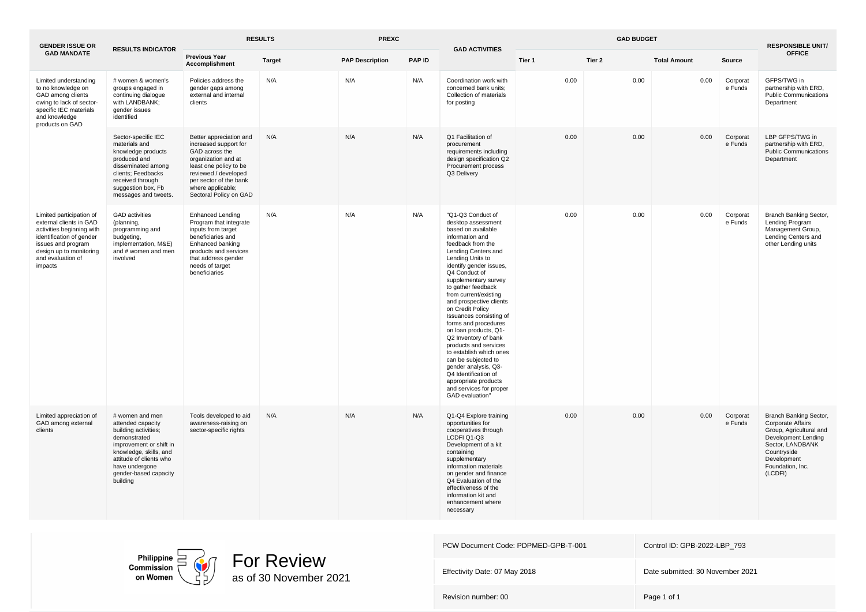| <b>GENDER ISSUE OR</b>                                                                                                                                                                        | <b>RESULTS INDICATOR</b>                                                                                                                                                                                            | <b>RESULTS</b>                                                                                                                                                                                                       |               | <b>PREXC</b>           |               | <b>GAD BUDGET</b><br><b>GAD ACTIVITIES</b>                                                                                                                                                                                                                                                                                                                                                                                                                                                                                                                                                                              |        |        |                     |                     | <b>RESPONSIBLE UNIT/</b>                                                                                                                                                              |
|-----------------------------------------------------------------------------------------------------------------------------------------------------------------------------------------------|---------------------------------------------------------------------------------------------------------------------------------------------------------------------------------------------------------------------|----------------------------------------------------------------------------------------------------------------------------------------------------------------------------------------------------------------------|---------------|------------------------|---------------|-------------------------------------------------------------------------------------------------------------------------------------------------------------------------------------------------------------------------------------------------------------------------------------------------------------------------------------------------------------------------------------------------------------------------------------------------------------------------------------------------------------------------------------------------------------------------------------------------------------------------|--------|--------|---------------------|---------------------|---------------------------------------------------------------------------------------------------------------------------------------------------------------------------------------|
| <b>GAD MANDATE</b>                                                                                                                                                                            |                                                                                                                                                                                                                     | <b>Previous Year</b><br>Accomplishment                                                                                                                                                                               | <b>Target</b> | <b>PAP Description</b> | <b>PAP ID</b> |                                                                                                                                                                                                                                                                                                                                                                                                                                                                                                                                                                                                                         | Tier 1 | Tier 2 | <b>Total Amount</b> | Source              | <b>OFFICE</b>                                                                                                                                                                         |
| Limited understanding<br>to no knowledge on<br>GAD among clients<br>owing to lack of sector-<br>specific IEC materials<br>and knowledge<br>products on GAD                                    | # women & women's<br>groups engaged in<br>continuing dialogue<br>with LANDBANK;<br>gender issues<br>identified                                                                                                      | Policies address the<br>gender gaps among<br>external and internal<br>clients                                                                                                                                        | N/A           | N/A                    | N/A           | Coordination work with<br>concerned bank units;<br>Collection of materials<br>for posting                                                                                                                                                                                                                                                                                                                                                                                                                                                                                                                               | 0.00   | 0.00   | 0.00                | Corporat<br>e Funds | GFPS/TWG in<br>partnership with ERD,<br><b>Public Communications</b><br>Department                                                                                                    |
|                                                                                                                                                                                               | Sector-specific IEC<br>materials and<br>knowledge products<br>produced and<br>disseminated among<br>clients; Feedbacks<br>received through<br>suggestion box, Fb<br>messages and tweets.                            | Better appreciation and<br>increased support for<br>GAD across the<br>organization and at<br>least one policy to be<br>reviewed / developed<br>per sector of the bank<br>where applicable;<br>Sectoral Policy on GAD | N/A           | N/A                    | N/A           | Q1 Facilitation of<br>procurement<br>requirements including<br>design specification Q2<br>Procurement process<br>Q3 Delivery                                                                                                                                                                                                                                                                                                                                                                                                                                                                                            | 0.00   | 0.00   | 0.00                | Corporat<br>e Funds | LBP GFPS/TWG in<br>partnership with ERD,<br><b>Public Communications</b><br>Department                                                                                                |
| Limited participation of<br>external clients in GAD<br>activities beginning with<br>identification of gender<br>issues and program<br>design up to monitoring<br>and evaluation of<br>impacts | <b>GAD</b> activities<br>(planning,<br>programming and<br>budgeting,<br>implementation, M&E)<br>and # women and men<br>involved                                                                                     | <b>Enhanced Lending</b><br>Program that integrate<br>inputs from target<br>beneficiaries and<br>Enhanced banking<br>products and services<br>that address gender<br>needs of target<br>beneficiaries                 | N/A           | N/A                    | N/A           | "Q1-Q3 Conduct of<br>desktop assessment<br>based on available<br>information and<br>feedback from the<br>Lending Centers and<br>Lending Units to<br>identify gender issues,<br>Q4 Conduct of<br>supplementary survey<br>to gather feedback<br>from current/existing<br>and prospective clients<br>on Credit Policy<br>Issuances consisting of<br>forms and procedures<br>on loan products, Q1-<br>Q2 Inventory of bank<br>products and services<br>to establish which ones<br>can be subjected to<br>gender analysis, Q3-<br>Q4 Identification of<br>appropriate products<br>and services for proper<br>GAD evaluation" | 0.00   | 0.00   | 0.00                | Corporat<br>e Funds | Branch Banking Sector,<br>Lending Program<br>Management Group,<br>Lending Centers and<br>other Lending units                                                                          |
| Limited appreciation of<br>GAD among external<br>clients                                                                                                                                      | # women and men<br>attended capacity<br>building activities;<br>demonstrated<br>improvement or shift in<br>knowledge, skills, and<br>attitude of clients who<br>have undergone<br>gender-based capacity<br>building | Tools developed to aid<br>awareness-raising on<br>sector-specific rights                                                                                                                                             | N/A           | N/A                    | N/A           | Q1-Q4 Explore training<br>opportunities for<br>cooperatives through<br>LCDFI Q1-Q3<br>Development of a kit<br>containing<br>supplementary<br>information materials<br>on gender and finance<br>Q4 Evaluation of the<br>effectiveness of the<br>information kit and<br>enhancement where<br>necessary                                                                                                                                                                                                                                                                                                                    | 0.00   | 0.00   | 0.00                | Corporat<br>e Funds | Branch Banking Sector,<br><b>Corporate Affairs</b><br>Group, Agricultural and<br>Development Lending<br>Sector, LANDBANK<br>Countryside<br>Development<br>Foundation, Inc.<br>(LCDFI) |

Philippine  $\Box$ <br>Commission on Women



PCW Document Code: PDPMED-GPB-T-001 Control ID: GPB-2022-LBP\_793 Effectivity Date: 07 May 2018 **Date submitted: 30 November 2021** Revision number: 00 Page 1 of 1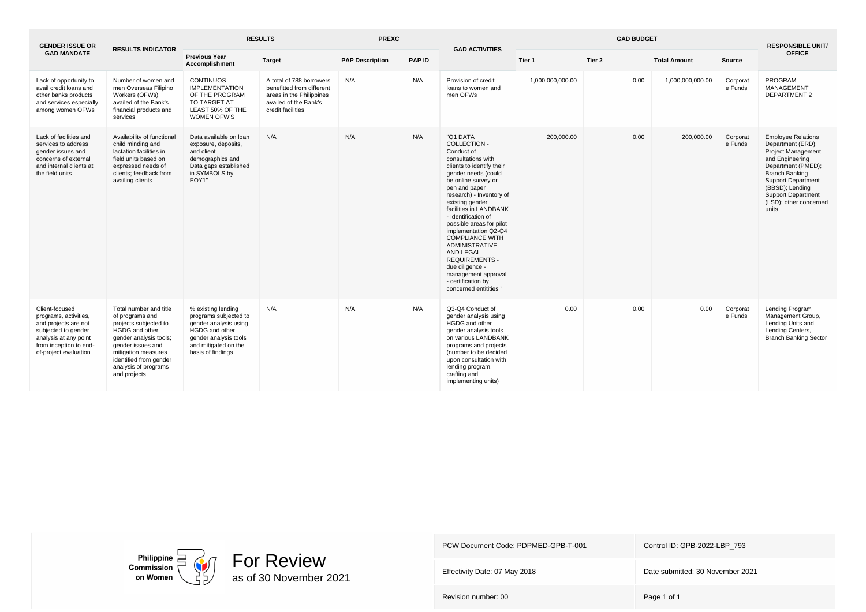| <b>GENDER ISSUE OR</b>                                                                                                                                             | <b>RESULTS INDICATOR</b>                                                                                                                                                                                                     | <b>RESULTS</b><br><b>PREXC</b>                                                                                                                               |                                                                                                                                 | <b>GAD ACTIVITIES</b>  |               | <b>GAD BUDGET</b>                                                                                                                                                                                                                                                                                                                                                                                                                                                                               |                  |        |                     | <b>RESPONSIBLE UNIT/</b> |                                                                                                                                                                                                                                                               |
|--------------------------------------------------------------------------------------------------------------------------------------------------------------------|------------------------------------------------------------------------------------------------------------------------------------------------------------------------------------------------------------------------------|--------------------------------------------------------------------------------------------------------------------------------------------------------------|---------------------------------------------------------------------------------------------------------------------------------|------------------------|---------------|-------------------------------------------------------------------------------------------------------------------------------------------------------------------------------------------------------------------------------------------------------------------------------------------------------------------------------------------------------------------------------------------------------------------------------------------------------------------------------------------------|------------------|--------|---------------------|--------------------------|---------------------------------------------------------------------------------------------------------------------------------------------------------------------------------------------------------------------------------------------------------------|
| <b>GAD MANDATE</b>                                                                                                                                                 |                                                                                                                                                                                                                              | <b>Previous Year</b><br>Accomplishment                                                                                                                       | Target                                                                                                                          | <b>PAP Description</b> | <b>PAP ID</b> |                                                                                                                                                                                                                                                                                                                                                                                                                                                                                                 | Tier 1           | Tier 2 | <b>Total Amount</b> | Source                   | <b>OFFICE</b>                                                                                                                                                                                                                                                 |
| Lack of opportunity to<br>avail credit loans and<br>other banks products<br>and services especially<br>among women OFWs                                            | Number of women and<br>men Overseas Filipino<br>Workers (OFWs)<br>availed of the Bank's<br>financial products and<br>services                                                                                                | <b>CONTINUOS</b><br><b>IMPLEMENTATION</b><br>OF THE PROGRAM<br>TO TARGET AT<br>LEAST 50% OF THE<br><b>WOMEN OFW'S</b>                                        | A total of 788 borrowers<br>benefitted from different<br>areas in the Philippines<br>availed of the Bank's<br>credit facilities | N/A                    | N/A           | Provision of credit<br>loans to women and<br>men OFWs                                                                                                                                                                                                                                                                                                                                                                                                                                           | 1,000,000,000.00 | 0.00   | 1,000,000,000.00    | Corporat<br>e Funds      | PROGRAM<br><b>MANAGEMENT</b><br><b>DEPARTMENT 2</b>                                                                                                                                                                                                           |
| Lack of facilities and<br>services to address<br>gender issues and<br>concerns of external<br>and internal clients at<br>the field units                           | Availability of functional<br>child minding and<br>lactation facilities in<br>field units based on<br>expressed needs of<br>clients; feedback from<br>availing clients                                                       | Data available on loan<br>exposure, deposits,<br>and client<br>demographics and<br>Data gaps established<br>in SYMBOLS by<br>EOY1"                           | N/A                                                                                                                             | N/A                    | N/A           | "Q1 DATA<br>COLLECTION -<br>Conduct of<br>consultations with<br>clients to identify their<br>gender needs (could<br>be online survey or<br>pen and paper<br>research) - Inventory of<br>existing gender<br>facilities in LANDBANK<br>- Identification of<br>possible areas for pilot<br>implementation Q2-Q4<br><b>COMPLIANCE WITH</b><br><b>ADMINISTRATIVE</b><br>AND LEGAL<br><b>REQUIREMENTS -</b><br>due diligence -<br>management approval<br>- certification by<br>concerned entitities " | 200,000,00       | 0.00   | 200,000.00          | Corporat<br>e Funds      | <b>Employee Relations</b><br>Department (ERD);<br><b>Project Management</b><br>and Engineering<br>Department (PMED);<br><b>Branch Banking</b><br><b>Support Department</b><br>(BBSD); Lending<br><b>Support Department</b><br>(LSD); other concerned<br>units |
| Client-focused<br>programs, activities,<br>and projects are not<br>subjected to gender<br>analysis at any point<br>from inception to end-<br>of-project evaluation | Total number and title<br>of programs and<br>projects subjected to<br>HGDG and other<br>gender analysis tools;<br>gender issues and<br>mitigation measures<br>identified from gender<br>analysis of programs<br>and projects | % existing lending<br>programs subjected to<br>gender analysis using<br>HGDG and other<br>gender analysis tools<br>and mitigated on the<br>basis of findings | N/A                                                                                                                             | N/A                    | N/A           | Q3-Q4 Conduct of<br>gender analysis using<br>HGDG and other<br>gender analysis tools<br>on various LANDBANK<br>programs and projects<br>(number to be decided<br>upon consultation with<br>lending program,<br>crafting and<br>implementing units)                                                                                                                                                                                                                                              | 0.00             | 0.00   | 0.00                | Corporat<br>e Funds      | Lending Program<br>Management Group,<br>Lending Units and<br>Lending Centers,<br><b>Branch Banking Sector</b>                                                                                                                                                 |



Effectivity Date: 07 May 2018 **Date submitted: 30 November 2021**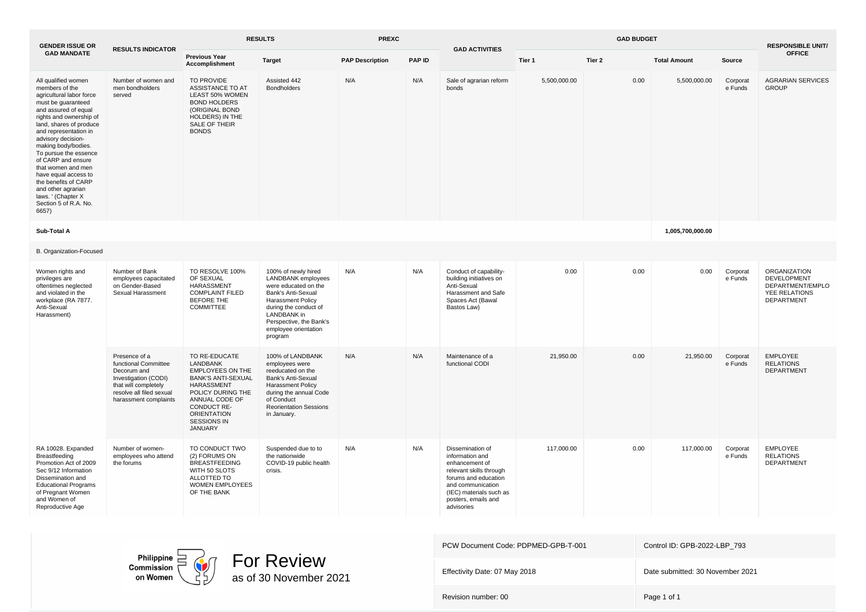| <b>GENDER ISSUE OR</b>                                                                                                                                                                                                                                                                                                                                                                                                                          | <b>RESULTS INDICATOR</b>                                                                                                                                  | <b>RESULTS</b>                                                                                                                                                                                               |                                                                                                                                                                                                                                  | <b>PREXC</b>           |               | <b>GAD BUDGET</b><br><b>GAD ACTIVITIES</b>                                                                                                                                                    |              |        |                     |                     | <b>RESPONSIBLE UNIT/</b>                                                                     |  |
|-------------------------------------------------------------------------------------------------------------------------------------------------------------------------------------------------------------------------------------------------------------------------------------------------------------------------------------------------------------------------------------------------------------------------------------------------|-----------------------------------------------------------------------------------------------------------------------------------------------------------|--------------------------------------------------------------------------------------------------------------------------------------------------------------------------------------------------------------|----------------------------------------------------------------------------------------------------------------------------------------------------------------------------------------------------------------------------------|------------------------|---------------|-----------------------------------------------------------------------------------------------------------------------------------------------------------------------------------------------|--------------|--------|---------------------|---------------------|----------------------------------------------------------------------------------------------|--|
| <b>GAD MANDATE</b>                                                                                                                                                                                                                                                                                                                                                                                                                              |                                                                                                                                                           | <b>Previous Year</b><br><b>Accomplishment</b>                                                                                                                                                                | <b>Target</b>                                                                                                                                                                                                                    | <b>PAP Description</b> | <b>PAP ID</b> |                                                                                                                                                                                               | Tier 1       | Tier 2 | <b>Total Amount</b> | Source              | <b>OFFICE</b>                                                                                |  |
| All qualified women<br>members of the<br>agricultural labor force<br>must be guaranteed<br>and assured of equal<br>rights and ownership of<br>land, shares of produce<br>and representation in<br>advisory decision-<br>making body/bodies.<br>To pursue the essence<br>of CARP and ensure<br>that women and men<br>have equal access to<br>the benefits of CARP<br>and other agrarian<br>laws. ' (Chapter X)<br>Section 5 of R.A. No.<br>6657) | Number of women and<br>men bondholders<br>served                                                                                                          | TO PROVIDE<br>ASSISTANCE TO AT<br>LEAST 50% WOMEN<br><b>BOND HOLDERS</b><br>(ORIGINAL BOND<br><b>HOLDERS) IN THE</b><br>SALE OF THEIR<br><b>BONDS</b>                                                        | Assisted 442<br><b>Bondholders</b>                                                                                                                                                                                               | N/A                    | N/A           | Sale of agrarian reform<br>bonds                                                                                                                                                              | 5,500,000.00 | 0.00   | 5,500,000.00        | Corporat<br>e Funds | <b>AGRARIAN SERVICES</b><br><b>GROUP</b>                                                     |  |
| Sub-Total A                                                                                                                                                                                                                                                                                                                                                                                                                                     |                                                                                                                                                           |                                                                                                                                                                                                              |                                                                                                                                                                                                                                  |                        |               |                                                                                                                                                                                               |              |        | 1,005,700,000.00    |                     |                                                                                              |  |
| B. Organization-Focused                                                                                                                                                                                                                                                                                                                                                                                                                         |                                                                                                                                                           |                                                                                                                                                                                                              |                                                                                                                                                                                                                                  |                        |               |                                                                                                                                                                                               |              |        |                     |                     |                                                                                              |  |
| Women rights and<br>privileges are<br>oftentimes neglected<br>and violated in the<br>workplace (RA 7877.<br>Anti-Sexual<br>Harassment)                                                                                                                                                                                                                                                                                                          | Number of Bank<br>employees capacitated<br>on Gender-Based<br>Sexual Harassment                                                                           | TO RESOLVE 100%<br>OF SEXUAL<br>HARASSMENT<br><b>COMPLAINT FILED</b><br><b>BEFORE THE</b><br>COMMITTEE                                                                                                       | 100% of newly hired<br><b>LANDBANK</b> employees<br>were educated on the<br>Bank's Anti-Sexual<br><b>Harassment Policy</b><br>during the conduct of<br>LANDBANK in<br>Perspective, the Bank's<br>employee orientation<br>program | N/A                    | N/A           | Conduct of capability-<br>building initiatives on<br>Anti-Sexual<br>Harassment and Safe<br>Spaces Act (Bawal<br>Bastos Law)                                                                   | 0.00         | 0.00   | 0.00                | Corporat<br>e Funds | <b>ORGANIZATION</b><br><b>DEVELOPMENT</b><br>DEPARTMENT/EMPLO<br>YEE RELATIONS<br>DEPARTMENT |  |
|                                                                                                                                                                                                                                                                                                                                                                                                                                                 | Presence of a<br>functional Committee<br>Decorum and<br>Investigation (CODI)<br>that will completely<br>resolve all filed sexual<br>harassment complaints | TO RE-EDUCATE<br>LANDBANK<br><b>EMPLOYEES ON THE</b><br><b>BANK'S ANTI-SEXUAL</b><br>HARASSMENT<br>POLICY DURING THE<br>ANNUAL CODE OF<br>CONDUCT RE-<br><b>ORIENTATION</b><br><b>SESSIONS IN</b><br>JANUARY | 100% of LANDBANK<br>employees were<br>reeducated on the<br>Bank's Anti-Sexual<br><b>Harassment Policy</b><br>during the annual Code<br>of Conduct<br><b>Reorientation Sessions</b><br>in January.                                | N/A                    | N/A           | Maintenance of a<br>functional CODI                                                                                                                                                           | 21,950.00    | 0.00   | 21,950.00           | Corporat<br>e Funds | <b>EMPLOYEE</b><br><b>RELATIONS</b><br><b>DEPARTMENT</b>                                     |  |
| RA 10028. Expanded<br>Breastfeeding<br>Promotion Act of 2009<br>Sec 9/12 Information<br>Dissemination and<br><b>Educational Programs</b><br>of Pregnant Women<br>and Women of<br>Reproductive Age                                                                                                                                                                                                                                               | Number of women-<br>employees who attend<br>the forums                                                                                                    | TO CONDUCT TWO<br>(2) FORUMS ON<br><b>BREASTFEEDING</b><br>WITH 50 SLOTS<br>ALLOTTED TO<br><b>WOMEN EMPLOYEES</b><br>OF THE BANK                                                                             | Suspended due to to<br>the nationwide<br>COVID-19 public health<br>crisis.                                                                                                                                                       | N/A                    | N/A           | Dissemination of<br>information and<br>enhancement of<br>relevant skills through<br>forums and education<br>and communication<br>(IEC) materials such as<br>posters, emails and<br>advisories | 117,000.00   | 0.00   | 117,000.00          | Corporat<br>e Funds | <b>EMPLOYEE</b><br><b>RELATIONS</b><br>DEPARTMENT                                            |  |

Philippine<br>Commission<br>on Women

For Review as of 30 November 2021

| PCW Document Code: PDPMED-GPB-T-001 | Control ID: GPB-2022-LBP 793     |
|-------------------------------------|----------------------------------|
| Effectivity Date: 07 May 2018       | Date submitted: 30 November 2021 |
| Revision number: 00                 | Page 1 of 1                      |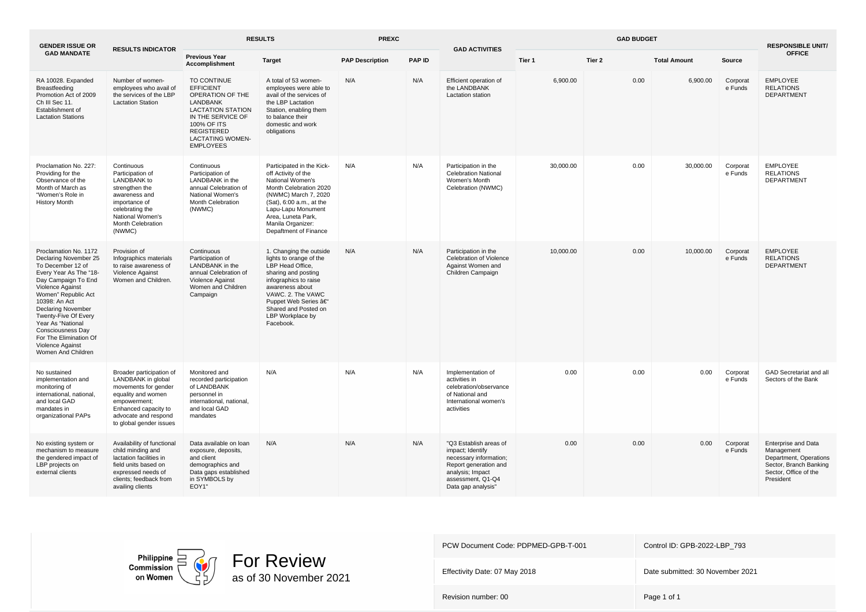| <b>GENDER ISSUE OR</b>                                                                                                                                                                                                                                                                                                                              | <b>RESULTS INDICATOR</b>                                                                                                                                                                | <b>RESULTS</b>                                                                                                                                                                                      |                                                                                                                                                                                                                                                | <b>PREXC</b>           |               | <b>GAD ACTIVITIES</b>                                                                                                                                        | <b>GAD BUDGET</b> |        |                     |                     | <b>RESPONSIBLE UNIT/</b>                                                                                                           |
|-----------------------------------------------------------------------------------------------------------------------------------------------------------------------------------------------------------------------------------------------------------------------------------------------------------------------------------------------------|-----------------------------------------------------------------------------------------------------------------------------------------------------------------------------------------|-----------------------------------------------------------------------------------------------------------------------------------------------------------------------------------------------------|------------------------------------------------------------------------------------------------------------------------------------------------------------------------------------------------------------------------------------------------|------------------------|---------------|--------------------------------------------------------------------------------------------------------------------------------------------------------------|-------------------|--------|---------------------|---------------------|------------------------------------------------------------------------------------------------------------------------------------|
| <b>GAD MANDATE</b>                                                                                                                                                                                                                                                                                                                                  |                                                                                                                                                                                         | <b>Previous Year</b><br>Accomplishment                                                                                                                                                              | <b>Target</b>                                                                                                                                                                                                                                  | <b>PAP Description</b> | <b>PAP ID</b> |                                                                                                                                                              | Tier 1            | Tier 2 | <b>Total Amount</b> | Source              | <b>OFFICE</b>                                                                                                                      |
| RA 10028. Expanded<br>Breastfeeding<br>Promotion Act of 2009<br>Ch III Sec 11.<br>Establishment of<br><b>Lactation Stations</b>                                                                                                                                                                                                                     | Number of women-<br>employees who avail of<br>the services of the LBP<br><b>Lactation Station</b>                                                                                       | TO CONTINUE<br><b>EFFICIENT</b><br>OPERATION OF THE<br>LANDBANK<br><b>LACTATION STATION</b><br>IN THE SERVICE OF<br>100% OF ITS<br><b>REGISTERED</b><br><b>LACTATING WOMEN-</b><br><b>EMPLOYEES</b> | A total of 53 women-<br>employees were able to<br>avail of the services of<br>the LBP Lactation<br>Station, enabling them<br>to balance their<br>domestic and work<br>obligations                                                              | N/A                    | N/A           | Efficient operation of<br>the LANDBANK<br>Lactation station                                                                                                  | 6,900.00          | 0.00   | 6,900.00            | Corporat<br>e Funds | <b>EMPLOYEE</b><br><b>RELATIONS</b><br><b>DEPARTMENT</b>                                                                           |
| Proclamation No. 227:<br>Providing for the<br>Observance of the<br>Month of March as<br>"Women's Role in<br><b>History Month</b>                                                                                                                                                                                                                    | Continuous<br>Participation of<br><b>LANDBANK</b> to<br>strengthen the<br>awareness and<br>importance of<br>celebrating the<br>National Women's<br><b>Month Celebration</b><br>(NWMC)   | Continuous<br>Participation of<br>LANDBANK in the<br>annual Celebration of<br>National Women's<br>Month Celebration<br>(NWMC)                                                                       | Participated in the Kick-<br>off Activity of the<br>National Women's<br>Month Celebration 2020<br>(NWMC) March 7, 2020<br>(Sat), 6:00 a.m., at the<br>Lapu-Lapu Monument<br>Area, Luneta Park,<br>Manila Organizer:<br>Depaftment of Finance   | N/A                    | N/A           | Participation in the<br><b>Celebration National</b><br>Women's Month<br>Celebration (NWMC)                                                                   | 30.000.00         | 0.00   | 30.000.00           | Corporat<br>e Funds | <b>EMPLOYEE</b><br><b>RELATIONS</b><br><b>DEPARTMENT</b>                                                                           |
| Proclamation No. 1172<br>Declaring November 25<br>To December 12 of<br>Every Year As The "18-<br>Day Campaign To End<br>Violence Against<br>Women" Republic Act<br>10398: An Act<br><b>Declaring November</b><br>Twenty-Five Of Every<br>Year As "National<br>Consciousness Day<br>For The Elimination Of<br>Violence Against<br>Women And Children | Provision of<br>Infographics materials<br>to raise awareness of<br>Violence Against<br>Women and Children.                                                                              | Continuous<br>Participation of<br>LANDBANK in the<br>annual Celebration of<br>Violence Against<br>Women and Children<br>Campaign                                                                    | 1. Changing the outside<br>lights to orange of the<br>LBP Head Office,<br>sharing and posting<br>infographics to raise<br>awareness about<br>VAWC. 2. The VAWC<br>Puppet Web Series –<br>Shared and Posted on<br>LBP Workplace by<br>Facebook. | N/A                    | N/A           | Participation in the<br>Celebration of Violence<br>Against Women and<br>Children Campaign                                                                    | 10,000.00         | 0.00   | 10,000.00           | Corporat<br>e Funds | <b>EMPLOYEE</b><br><b>RELATIONS</b><br>DEPARTMENT                                                                                  |
| No sustained<br>implementation and<br>monitoring of<br>international, national,<br>and local GAD<br>mandates in<br>organizational PAPs                                                                                                                                                                                                              | Broader participation of<br>LANDBANK in global<br>movements for gender<br>equality and women<br>empowerment;<br>Enhanced capacity to<br>advocate and respond<br>to global gender issues | Monitored and<br>recorded participation<br>of LANDBANK<br>personnel in<br>international, national.<br>and local GAD<br>mandates                                                                     | N/A                                                                                                                                                                                                                                            | N/A                    | N/A           | Implementation of<br>activities in<br>celebration/observance<br>of National and<br>International women's<br>activities                                       | 0.00              | 0.00   | 0.00                | Corporat<br>e Funds | GAD Secretariat and all<br>Sectors of the Bank                                                                                     |
| No existing system or<br>mechanism to measure<br>the gendered impact of<br>LBP projects on<br>external clients                                                                                                                                                                                                                                      | Availability of functional<br>child minding and<br>lactation facilities in<br>field units based on<br>expressed needs of<br>clients; feedback from<br>availing clients                  | Data available on loan<br>exposure, deposits,<br>and client<br>demographics and<br>Data gaps established<br>in SYMBOLS by<br>EOY1"                                                                  | N/A                                                                                                                                                                                                                                            | N/A                    | N/A           | "Q3 Establish areas of<br>impact; Identify<br>necessary information;<br>Report generation and<br>analysis; Impact<br>assessment, Q1-Q4<br>Data gap analysis" | 0.00              | 0.00   | 0.00                | Corporat<br>e Funds | <b>Enterprise and Data</b><br>Management<br>Department, Operations<br>Sector, Branch Banking<br>Sector, Office of the<br>President |

Philippine<br>Commission<br>on Women



| PCW Document Code: PDPMED-GPB-T-001 | Control ID: GPB-2022-LBP 793     |
|-------------------------------------|----------------------------------|
| Effectivity Date: 07 May 2018       | Date submitted: 30 November 2021 |
| Revision number: 00                 | Page 1 of 1                      |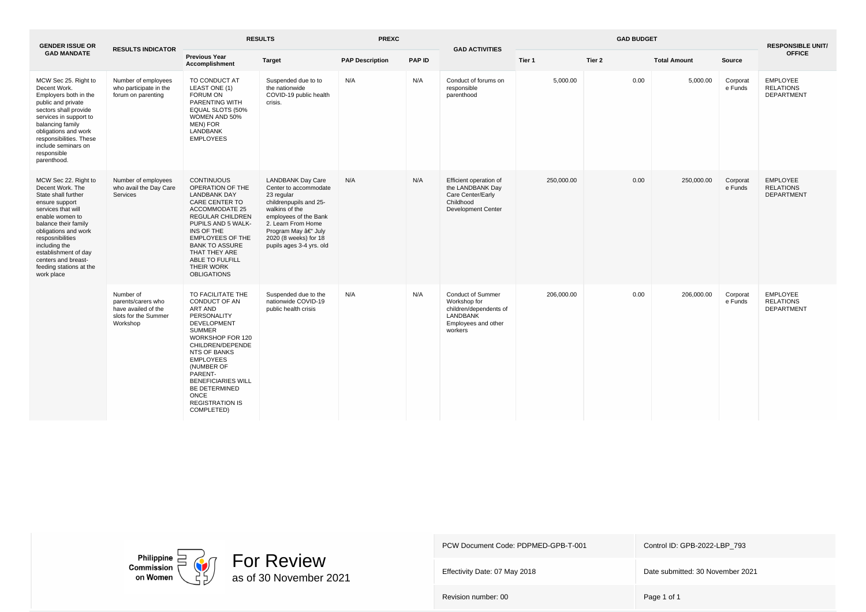| <b>GENDER ISSUE OR</b>                                                                                                                                                                                                                                                                                  | <b>RESULTS INDICATOR</b>                                                                   | <b>RESULTS</b>                                                                                                                                                                                                                                                                                            |                                                                                                                                                                                                                                       | <b>PREXC</b><br><b>GAD ACTIVITIES</b> |               |                                                                                                                         | <b>GAD BUDGET</b> |        |                     |                     | <b>RESPONSIBLE UNIT/</b>                                 |
|---------------------------------------------------------------------------------------------------------------------------------------------------------------------------------------------------------------------------------------------------------------------------------------------------------|--------------------------------------------------------------------------------------------|-----------------------------------------------------------------------------------------------------------------------------------------------------------------------------------------------------------------------------------------------------------------------------------------------------------|---------------------------------------------------------------------------------------------------------------------------------------------------------------------------------------------------------------------------------------|---------------------------------------|---------------|-------------------------------------------------------------------------------------------------------------------------|-------------------|--------|---------------------|---------------------|----------------------------------------------------------|
| <b>GAD MANDATE</b>                                                                                                                                                                                                                                                                                      |                                                                                            | <b>Previous Year</b><br>Accomplishment                                                                                                                                                                                                                                                                    | <b>Target</b>                                                                                                                                                                                                                         | <b>PAP Description</b>                | <b>PAP ID</b> |                                                                                                                         | Tier 1            | Tier 2 | <b>Total Amount</b> | Source              | <b>OFFICE</b>                                            |
| MCW Sec 25. Right to<br>Decent Work.<br>Employers both in the<br>public and private<br>sectors shall provide<br>services in support to<br>balancing family<br>obligations and work<br>responsibilities. These<br>include seminars on<br>responsible<br>parenthood.                                      | Number of employees<br>who participate in the<br>forum on parenting                        | TO CONDUCT AT<br>LEAST ONE (1)<br><b>FORUM ON</b><br>PARENTING WITH<br>EQUAL SLOTS (50%<br>WOMEN AND 50%<br>MEN) FOR<br><b>LANDBANK</b><br><b>EMPLOYEES</b>                                                                                                                                               | Suspended due to to<br>the nationwide<br>COVID-19 public health<br>crisis.                                                                                                                                                            | N/A                                   | N/A           | Conduct of forums on<br>responsible<br>parenthood                                                                       | 5,000.00          | 0.00   | 5,000.00            | Corporat<br>e Funds | <b>EMPLOYEE</b><br><b>RELATIONS</b><br><b>DEPARTMENT</b> |
| MCW Sec 22. Right to<br>Decent Work, The<br>State shall further<br>ensure support<br>services that will<br>enable women to<br>balance their family<br>obligations and work<br>resposnibilities<br>including the<br>establishment of day<br>centers and breast-<br>feeding stations at the<br>work place | Number of employees<br>who avail the Day Care<br>Services                                  | <b>CONTINUOUS</b><br>OPERATION OF THE<br><b>LANDBANK DAY</b><br><b>CARE CENTER TO</b><br><b>ACCOMMODATE 25</b><br><b>REGULAR CHILDREN</b><br>PUPILS AND 5 WALK-<br>INS OF THE<br><b>EMPLOYEES OF THE</b><br><b>BANK TO ASSURE</b><br>THAT THEY ARE<br>ABLE TO FULFILL<br>THEIR WORK<br><b>OBLIGATIONS</b> | <b>LANDBANK Day Care</b><br>Center to accommodate<br>23 regular<br>childrenpupils and 25-<br>walkins of the<br>employees of the Bank<br>2. Learn From Home<br>Program May – July<br>2020 (8 weeks) for 18<br>pupils ages 3-4 yrs. old | N/A                                   | N/A           | Efficient operation of<br>the LANDBANK Day<br>Care Center/Early<br>Childhood<br><b>Development Center</b>               | 250,000.00        | 0.00   | 250,000.00          | Corporat<br>e Funds | <b>EMPLOYEE</b><br><b>RELATIONS</b><br><b>DEPARTMENT</b> |
|                                                                                                                                                                                                                                                                                                         | Number of<br>parents/carers who<br>have availed of the<br>slots for the Summer<br>Workshop | TO FACILITATE THE<br>CONDUCT OF AN<br>ART AND<br>PERSONALITY<br>DEVELOPMENT<br><b>SUMMER</b><br>WORKSHOP FOR 120<br>CHILDREN/DEPENDE<br>NTS OF BANKS<br><b>EMPLOYEES</b><br>(NUMBER OF<br>PARENT-<br><b>BENEFICIARIES WILL</b><br>BE DETERMINED<br><b>ONCE</b><br><b>REGISTRATION IS</b><br>COMPLETED)    | Suspended due to the<br>nationwide COVID-19<br>public health crisis                                                                                                                                                                   | N/A                                   | N/A           | <b>Conduct of Summer</b><br>Workshop for<br>children/dependents of<br><b>LANDBANK</b><br>Employees and other<br>workers | 206.000.00        | 0.00   | 206,000.00          | Corporat<br>e Funds | <b>EMPLOYEE</b><br><b>RELATIONS</b><br><b>DEPARTMENT</b> |



Effectivity Date: 07 May 2018 **Date submitted: 30 November 2021**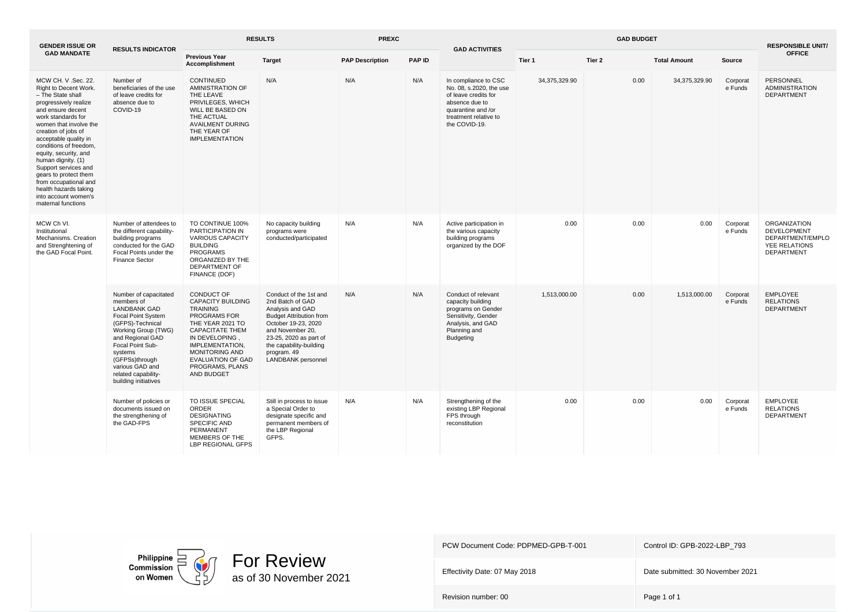| <b>GENDER ISSUE OR</b>                                                                                                                                                                                                                                                                                                                                                                                                                    | <b>RESULTS INDICATOR</b>                                                                                                                                                                                                                                           | <b>RESULTS</b>                                                                                                                                                                                                                                     |                                                                                                                                                                                                                                              | <b>PREXC</b>           |        | <b>GAD ACTIVITIES</b>                                                                                                                                     | <b>GAD BUDGET</b> |        |                     |                     | <b>RESPONSIBLE UNIT/</b>                                                                     |
|-------------------------------------------------------------------------------------------------------------------------------------------------------------------------------------------------------------------------------------------------------------------------------------------------------------------------------------------------------------------------------------------------------------------------------------------|--------------------------------------------------------------------------------------------------------------------------------------------------------------------------------------------------------------------------------------------------------------------|----------------------------------------------------------------------------------------------------------------------------------------------------------------------------------------------------------------------------------------------------|----------------------------------------------------------------------------------------------------------------------------------------------------------------------------------------------------------------------------------------------|------------------------|--------|-----------------------------------------------------------------------------------------------------------------------------------------------------------|-------------------|--------|---------------------|---------------------|----------------------------------------------------------------------------------------------|
| <b>GAD MANDATE</b>                                                                                                                                                                                                                                                                                                                                                                                                                        |                                                                                                                                                                                                                                                                    | <b>Previous Year</b><br><b>Accomplishment</b>                                                                                                                                                                                                      | <b>Target</b>                                                                                                                                                                                                                                | <b>PAP Description</b> | PAP ID |                                                                                                                                                           | Tier 1            | Tier 2 | <b>Total Amount</b> | Source              | <b>OFFICE</b>                                                                                |
| MCW CH. V .Sec. 22.<br>Right to Decent Work.<br>- The State shall<br>progressively realize<br>and ensure decent<br>work standards for<br>women that involve the<br>creation of jobs of<br>acceptable quality in<br>conditions of freedom,<br>equity, security, and<br>human dignity. (1)<br>Support services and<br>gears to protect them<br>from occupational and<br>health hazards taking<br>into account women's<br>maternal functions | Number of<br>beneficiaries of the use<br>of leave credits for<br>absence due to<br>COVID-19                                                                                                                                                                        | CONTINUED<br>AMINISTRATION OF<br>THE LEAVE<br>PRIVILEGES, WHICH<br>WILL BE BASED ON<br>THE ACTUAL<br><b>AVAILMENT DURING</b><br>THE YEAR OF<br><b>IMPLEMENTATION</b>                                                                               | N/A                                                                                                                                                                                                                                          | N/A                    | N/A    | In compliance to CSC<br>No. 08, s.2020, the use<br>of leave credits for<br>absence due to<br>quarantine and /or<br>treatment relative to<br>the COVID-19. | 34,375,329.90     | 0.00   | 34,375,329.90       | Corporat<br>e Funds | PERSONNEL<br><b>ADMINISTRATION</b><br><b>DEPARTMENT</b>                                      |
| MCW Ch VI.<br>Institutional<br>Mechanisms. Creation<br>and Strenghtening of<br>the GAD Focal Point.                                                                                                                                                                                                                                                                                                                                       | Number of attendees to<br>the different capability-<br>building programs<br>conducted for the GAD<br>Focal Points under the<br>Finance Sector                                                                                                                      | TO CONTINUE 100%<br>PARTICIPATION IN<br><b>VARIOUS CAPACITY</b><br><b>BUILDING</b><br><b>PROGRAMS</b><br>ORGANIZED BY THE<br>DEPARTMENT OF<br>FINANCE (DOF)                                                                                        | No capacity building<br>programs were<br>conducted/participated                                                                                                                                                                              | N/A                    | N/A    | Active participation in<br>the various capacity<br>building programs<br>organized by the DOF                                                              | 0.00              | 0.00   | 0.00                | Corporat<br>e Funds | ORGANIZATION<br><b>DEVELOPMENT</b><br>DEPARTMENT/EMPLO<br>YEE RELATIONS<br><b>DEPARTMENT</b> |
|                                                                                                                                                                                                                                                                                                                                                                                                                                           | Number of capacitated<br>members of<br><b>LANDBANK GAD</b><br>Focal Point System<br>(GFPS)-Technical<br>Working Group (TWG)<br>and Regional GAD<br>Focal Point Sub-<br>systems<br>(GFPSs)through<br>various GAD and<br>related capability-<br>building initiatives | CONDUCT OF<br><b>CAPACITY BUILDING</b><br><b>TRAINING</b><br>PROGRAMS FOR<br>THE YEAR 2021 TO<br><b>CAPACITATE THEM</b><br>IN DEVELOPING,<br>IMPLEMENTATION,<br><b>MONITORING AND</b><br><b>EVALUATION OF GAD</b><br>PROGRAMS, PLANS<br>AND BUDGET | Conduct of the 1st and<br>2nd Batch of GAD<br>Analysis and GAD<br><b>Budget Attribution from</b><br>October 19-23, 2020<br>and November 20,<br>23-25, 2020 as part of<br>the capability-building<br>program. 49<br><b>LANDBANK</b> personnel | N/A                    | N/A    | Conduct of relevant<br>capacity building<br>programs on Gender<br>Sensitivity, Gender<br>Analysis, and GAD<br>Planning and<br>Budgeting                   | 1,513,000.00      | 0.00   | 1,513,000.00        | Corporat<br>e Funds | <b>EMPLOYEE</b><br><b>RELATIONS</b><br><b>DEPARTMENT</b>                                     |
|                                                                                                                                                                                                                                                                                                                                                                                                                                           | Number of policies or<br>documents issued on<br>the strengthening of<br>the GAD-FPS                                                                                                                                                                                | TO ISSUE SPECIAL<br><b>ORDER</b><br><b>DESIGNATING</b><br>SPECIFIC AND<br>PERMANENT<br>MEMBERS OF THE<br><b>LBP REGIONAL GFPS</b>                                                                                                                  | Still in process to issue<br>a Special Order to<br>designate specific and<br>permanent members of<br>the LBP Regional<br>GFPS.                                                                                                               | N/A                    | N/A    | Strengthening of the<br>existing LBP Regional<br>FPS through<br>reconstitution                                                                            | 0.00              | 0.00   | 0.00                | Corporat<br>e Funds | <b>EMPLOYEE</b><br><b>RELATIONS</b><br>DEPARTMENT                                            |

Philippine<br>Commission<br>on Women



PCW Document Code: PDPMED-GPB-T-001 Control ID: GPB-2022-LBP\_793

Effectivity Date: 07 May 2018 **Date submitted: 30 November 2021**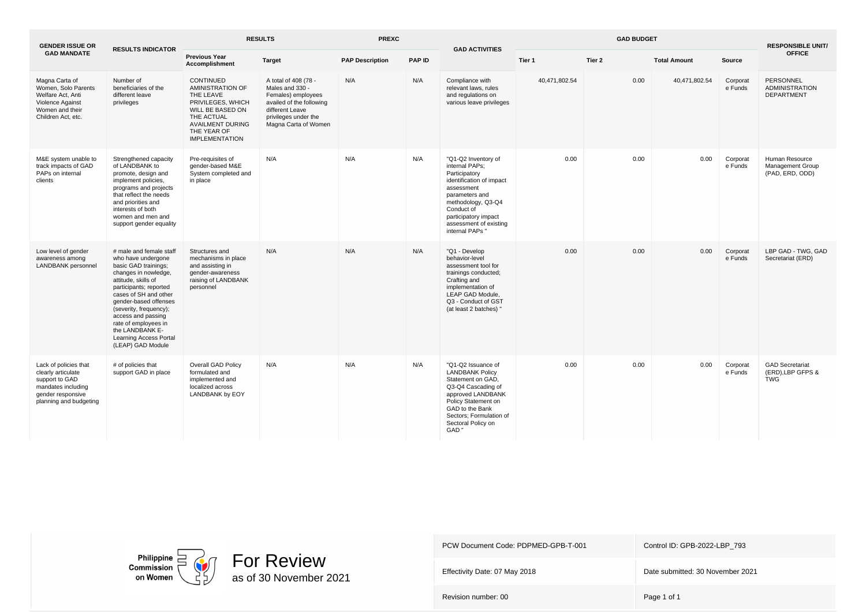| <b>GENDER ISSUE OR</b>                                                                                                             | <b>RESULTS INDICATOR</b>                                                                                                                                                                                                                                                                                                                          | <b>RESULTS</b>                                                                                                                                                              |                                                                                                                                                              | <b>PREXC</b><br><b>GAD ACTIVITIES</b> |        |                                                                                                                                                                                                                             | <b>GAD BUDGET</b> |        |                     |                     | <b>RESPONSIBLE UNIT/</b>                                     |
|------------------------------------------------------------------------------------------------------------------------------------|---------------------------------------------------------------------------------------------------------------------------------------------------------------------------------------------------------------------------------------------------------------------------------------------------------------------------------------------------|-----------------------------------------------------------------------------------------------------------------------------------------------------------------------------|--------------------------------------------------------------------------------------------------------------------------------------------------------------|---------------------------------------|--------|-----------------------------------------------------------------------------------------------------------------------------------------------------------------------------------------------------------------------------|-------------------|--------|---------------------|---------------------|--------------------------------------------------------------|
| <b>GAD MANDATE</b>                                                                                                                 |                                                                                                                                                                                                                                                                                                                                                   | <b>Previous Year</b><br>Accomplishment                                                                                                                                      | <b>Target</b>                                                                                                                                                | <b>PAP Description</b>                | PAP ID |                                                                                                                                                                                                                             | Tier 1            | Tier 2 | <b>Total Amount</b> | Source              | <b>OFFICE</b>                                                |
| Magna Carta of<br>Women, Solo Parents<br>Welfare Act, Anti<br>Violence Against<br>Women and their<br>Children Act. etc.            | Number of<br>beneficiaries of the<br>different leave<br>privileges                                                                                                                                                                                                                                                                                | CONTINUED<br><b>AMINISTRATION OF</b><br>THE LEAVE<br>PRIVILEGES, WHICH<br>WILL BE BASED ON<br>THE ACTUAL<br><b>AVAILMENT DURING</b><br>THE YEAR OF<br><b>IMPLEMENTATION</b> | A total of 408 (78 -<br>Males and 330 -<br>Females) employees<br>availed of the following<br>different Leave<br>privileges under the<br>Magna Carta of Women | N/A                                   | N/A    | Compliance with<br>relevant laws, rules<br>and regulations on<br>various leave privileges                                                                                                                                   | 40,471,802.54     | 0.00   | 40,471,802.54       | Corporat<br>e Funds | PERSONNEL<br><b>ADMINISTRATION</b><br><b>DEPARTMENT</b>      |
| M&E system unable to<br>track impacts of GAD<br>PAPs on internal<br>clients                                                        | Strengthened capacity<br>of LANDBANK to<br>promote, design and<br>implement policies,<br>programs and projects<br>that reflect the needs<br>and priorities and<br>interests of both<br>women and men and<br>support gender equality                                                                                                               | Pre-requisites of<br>gender-based M&E<br>System completed and<br>in place                                                                                                   | N/A                                                                                                                                                          | N/A                                   | N/A    | "Q1-Q2 Inventory of<br>internal PAPs:<br>Participatory<br>identification of impact<br>assessment<br>parameters and<br>methodology, Q3-Q4<br>Conduct of<br>participatory impact<br>assessment of existing<br>internal PAPs ' | 0.00              | 0.00   | 0.00                | Corporat<br>e Funds | Human Resource<br><b>Management Group</b><br>(PAD, ERD, ODD) |
| Low level of gender<br>awareness among<br><b>LANDBANK</b> personnel                                                                | # male and female staff<br>who have undergone<br>basic GAD trainings;<br>changes in nowledge,<br>attitude, skills of<br>participants; reported<br>cases of SH and other<br>gender-based offenses<br>(severity, frequency);<br>access and passing<br>rate of employees in<br>the LANDBANK E-<br><b>Learning Access Portal</b><br>(LEAP) GAD Module | Structures and<br>mechanisms in place<br>and assisting in<br>gender-awareness<br>raising of LANDBANK<br>personnel                                                           | N/A                                                                                                                                                          | N/A                                   | N/A    | "Q1 - Develop<br>behavior-level<br>assessment tool for<br>trainings conducted;<br>Crafting and<br>implementation of<br>LEAP GAD Module.<br>Q3 - Conduct of GST<br>(at least 2 batches) '                                    | 0.00              | 0.00   | 0.00                | Corporat<br>e Funds | LBP GAD - TWG. GAD<br>Secretariat (ERD)                      |
| Lack of policies that<br>clearly articulate<br>support to GAD<br>mandates including<br>gender responsive<br>planning and budgeting | # of policies that<br>support GAD in place                                                                                                                                                                                                                                                                                                        | Overall GAD Policy<br>formulated and<br>implemented and<br>localized across<br>LANDBANK by EOY                                                                              | N/A                                                                                                                                                          | N/A                                   | N/A    | "Q1-Q2 Issuance of<br><b>LANDBANK Policy</b><br>Statement on GAD,<br>Q3-Q4 Cascading of<br>approved LANDBANK<br>Policy Statement on<br>GAD to the Bank<br>Sectors; Formulation of<br>Sectoral Policy on<br>GAD'             | 0.00              | 0.00   | 0.00                | Corporat<br>e Funds | <b>GAD Secretariat</b><br>(ERD), LBP GFPS &<br><b>TWG</b>    |





Effectivity Date: 07 May 2018 **Date submitted: 30 November 2021**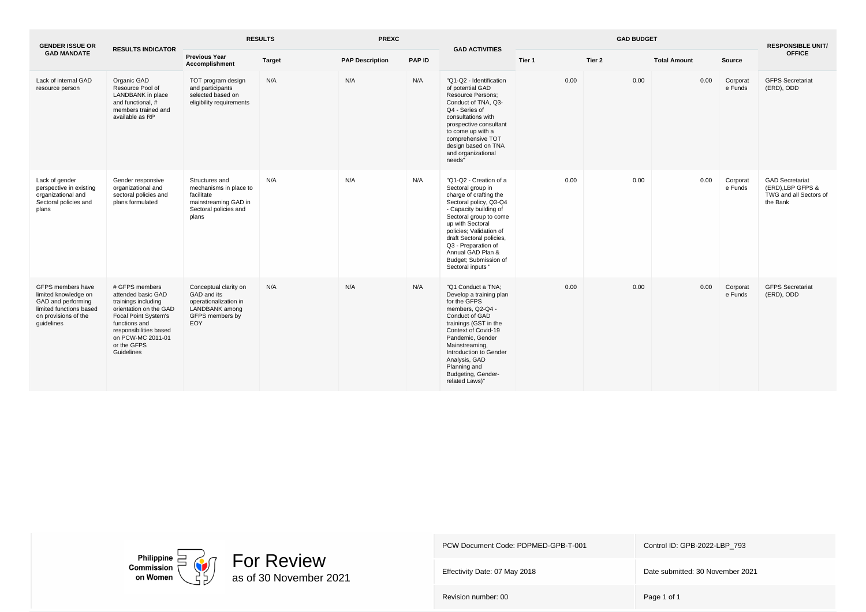| <b>GENDER ISSUE OR</b>                                                                                                           | <b>RESULTS INDICATOR</b>                                                                                                                                                                                   | <b>RESULTS</b><br><b>PREXC</b>                                                                                   |               |                        | <b>GAD ACTIVITIES</b> |                                                                                                                                                                                                                                                                                                                          | <b>RESPONSIBLE UNIT/</b> |        |                     |                     |                                                                                  |
|----------------------------------------------------------------------------------------------------------------------------------|------------------------------------------------------------------------------------------------------------------------------------------------------------------------------------------------------------|------------------------------------------------------------------------------------------------------------------|---------------|------------------------|-----------------------|--------------------------------------------------------------------------------------------------------------------------------------------------------------------------------------------------------------------------------------------------------------------------------------------------------------------------|--------------------------|--------|---------------------|---------------------|----------------------------------------------------------------------------------|
| <b>GAD MANDATE</b>                                                                                                               |                                                                                                                                                                                                            | <b>Previous Year</b><br><b>Accomplishment</b>                                                                    | <b>Target</b> | <b>PAP Description</b> | <b>PAP ID</b>         |                                                                                                                                                                                                                                                                                                                          | Tier 1                   | Tier 2 | <b>Total Amount</b> | Source              | <b>OFFICE</b>                                                                    |
| Lack of internal GAD<br>resource person                                                                                          | Organic GAD<br>Resource Pool of<br>LANDBANK in place<br>and functional, #<br>members trained and<br>available as RP                                                                                        | TOT program design<br>and participants<br>selected based on<br>eligibility requirements                          | N/A           | N/A                    | N/A                   | "Q1-Q2 - Identification<br>of potential GAD<br><b>Resource Persons:</b><br>Conduct of TNA, Q3-<br>Q4 - Series of<br>consultations with<br>prospective consultant<br>to come up with a<br>comprehensive TOT<br>design based on TNA<br>and organizational<br>needs"                                                        | 0.00                     | 0.00   | 0.00                | Corporat<br>e Funds | <b>GFPS Secretariat</b><br>(ERD), ODD                                            |
| Lack of gender<br>perspective in existing<br>organizational and<br>Sectoral policies and<br>plans                                | Gender responsive<br>organizational and<br>sectoral policies and<br>plans formulated                                                                                                                       | Structures and<br>mechanisms in place to<br>facilitate<br>mainstreaming GAD in<br>Sectoral policies and<br>plans | N/A           | N/A                    | N/A                   | "Q1-Q2 - Creation of a<br>Sectoral group in<br>charge of crafting the<br>Sectoral policy, Q3-Q4<br>- Capacity building of<br>Sectoral group to come<br>up with Sectoral<br>policies; Validation of<br>draft Sectoral policies,<br>Q3 - Preparation of<br>Annual GAD Plan &<br>Budget; Submission of<br>Sectoral inputs " | 0.00                     | 0.00   | 0.00                | Corporat<br>e Funds | <b>GAD Secretariat</b><br>(ERD).LBP GFPS &<br>TWG and all Sectors of<br>the Bank |
| GFPS members have<br>limited knowledge on<br>GAD and performing<br>limited functions based<br>on provisions of the<br>quidelines | # GFPS members<br>attended basic GAD<br>trainings including<br>orientation on the GAD<br>Focal Point System's<br>functions and<br>responsibilities based<br>on PCW-MC 2011-01<br>or the GFPS<br>Guidelines | Conceptual clarity on<br>GAD and its<br>operationalization in<br>LANDBANK among<br>GFPS members by<br>EOY        | N/A           | N/A                    | N/A                   | "Q1 Conduct a TNA;<br>Develop a training plan<br>for the GFPS<br>members, Q2-Q4 -<br>Conduct of GAD<br>trainings (GST in the<br>Context of Covid-19<br>Pandemic, Gender<br>Mainstreaming,<br>Introduction to Gender<br>Analysis, GAD<br>Planning and<br>Budgeting, Gender-<br>related Laws)"                             | 0.00                     | 0.00   | 0.00                | Corporat<br>e Funds | <b>GFPS Secretariat</b><br>(ERD), ODD                                            |



Effectivity Date: 07 May 2018 **Date submitted: 30 November 2021**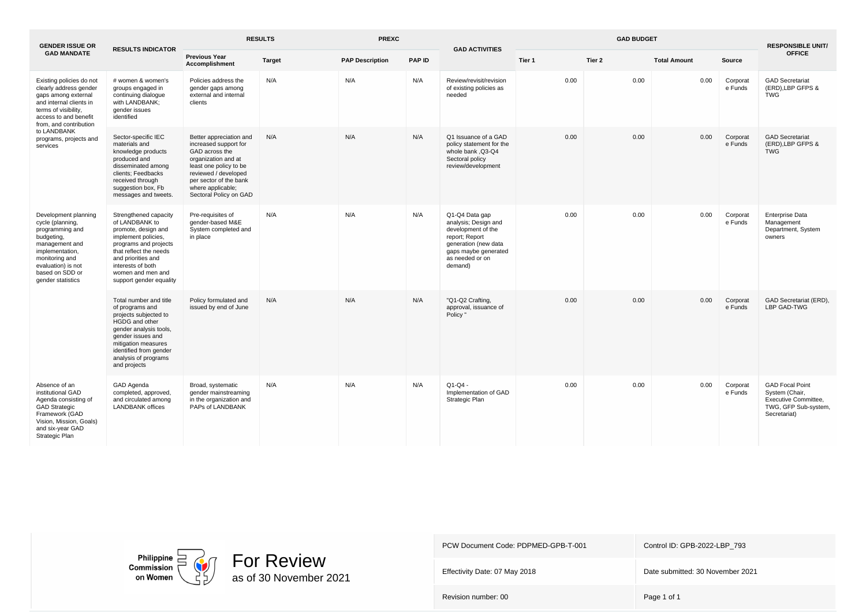| <b>GENDER ISSUE OR</b>                                                                                                                                                                                                               | <b>RESULTS INDICATOR</b>                                                                                                                                                                                                            | <b>RESULTS</b>                                                                                                                                                                                                       | <b>PREXC</b>  |                        | <b>GAD ACTIVITIES</b> | <b>GAD BUDGET</b>                                                                                                                                            |        |        |                     |                     |                                                                                                          |
|--------------------------------------------------------------------------------------------------------------------------------------------------------------------------------------------------------------------------------------|-------------------------------------------------------------------------------------------------------------------------------------------------------------------------------------------------------------------------------------|----------------------------------------------------------------------------------------------------------------------------------------------------------------------------------------------------------------------|---------------|------------------------|-----------------------|--------------------------------------------------------------------------------------------------------------------------------------------------------------|--------|--------|---------------------|---------------------|----------------------------------------------------------------------------------------------------------|
| <b>GAD MANDATE</b>                                                                                                                                                                                                                   |                                                                                                                                                                                                                                     | <b>Previous Year</b><br>Accomplishment                                                                                                                                                                               | <b>Target</b> | <b>PAP Description</b> | <b>PAP ID</b>         |                                                                                                                                                              | Tier 1 | Tier 2 | <b>Total Amount</b> | Source              | <b>OFFICE</b>                                                                                            |
| Existing policies do not<br>clearly address gender<br>gaps among external<br>and internal clients in<br>terms of visibility,<br>access to and benefit<br>from, and contribution<br>to LANDBANK<br>programs, projects and<br>services | # women & women's<br>groups engaged in<br>continuing dialogue<br>with LANDBANK;<br>gender issues<br>identified                                                                                                                      | Policies address the<br>gender gaps among<br>external and internal<br>clients                                                                                                                                        | N/A           | N/A                    | N/A                   | Review/revisit/revision<br>of existing policies as<br>needed                                                                                                 | 0.00   | 0.00   | 0.00                | Corporat<br>e Funds | <b>GAD Secretariat</b><br>(ERD), LBP GFPS &<br><b>TWG</b>                                                |
|                                                                                                                                                                                                                                      | Sector-specific IEC<br>materials and<br>knowledge products<br>produced and<br>disseminated among<br>clients; Feedbacks<br>received through<br>suggestion box, Fb<br>messages and tweets.                                            | Better appreciation and<br>increased support for<br>GAD across the<br>organization and at<br>least one policy to be<br>reviewed / developed<br>per sector of the bank<br>where applicable;<br>Sectoral Policy on GAD | N/A           | N/A                    | N/A                   | Q1 Issuance of a GAD<br>policy statement for the<br>whole bank ,Q3-Q4<br>Sectoral policy<br>review/development                                               | 0.00   | 0.00   | 0.00                | Corporat<br>e Funds | <b>GAD Secretariat</b><br>(ERD), LBP GFPS &<br><b>TWG</b>                                                |
| Development planning<br>cycle (planning,<br>programming and<br>budgeting,<br>management and<br>implementation,<br>monitoring and<br>evaluation) is not<br>based on SDD or<br>gender statistics                                       | Strengthened capacity<br>of LANDBANK to<br>promote, design and<br>implement policies,<br>programs and projects<br>that reflect the needs<br>and priorities and<br>interests of both<br>women and men and<br>support gender equality | Pre-requisites of<br>gender-based M&E<br>System completed and<br>in place                                                                                                                                            | N/A           | N/A                    | N/A                   | Q1-Q4 Data gap<br>analysis; Design and<br>development of the<br>report; Report<br>generation (new data<br>gaps maybe generated<br>as needed or on<br>demand) | 0.00   | 0.00   | 0.00                | Corporat<br>e Funds | <b>Enterprise Data</b><br>Management<br>Department, System<br>owners                                     |
|                                                                                                                                                                                                                                      | Total number and title<br>of programs and<br>projects subjected to<br>HGDG and other<br>gender analysis tools,<br>gender issues and<br>mitigation measures<br>identified from gender<br>analysis of programs<br>and projects        | Policy formulated and<br>issued by end of June                                                                                                                                                                       | N/A           | N/A                    | N/A                   | "Q1-Q2 Crafting,<br>approval, issuance of<br>Policy "                                                                                                        | 0.00   | 0.00   | 0.00                | Corporat<br>e Funds | GAD Secretariat (ERD),<br>LBP GAD-TWG                                                                    |
| Absence of an<br>institutional GAD<br>Agenda consisting of<br><b>GAD Strategic</b><br>Framework (GAD<br>Vision, Mission, Goals)<br>and six-year GAD<br>Strategic Plan                                                                | GAD Agenda<br>completed, approved,<br>and circulated among<br><b>LANDBANK</b> offices                                                                                                                                               | Broad, systematic<br>gender mainstreaming<br>in the organization and<br>PAPs of LANDBANK                                                                                                                             | N/A           | N/A                    | N/A                   | $Q1-Q4 -$<br>Implementation of GAD<br>Strategic Plan                                                                                                         | 0.00   | 0.00   | 0.00                | Corporat<br>e Funds | <b>GAD Focal Point</b><br>System (Chair,<br>Executive Committee.<br>TWG, GFP Sub-system,<br>Secretariat) |

Philippine  $\Box$ <br>Commission on Women



PCW Document Code: PDPMED-GPB-T-001 Control ID: GPB-2022-LBP\_793

Effectivity Date: 07 May 2018 **Date submitted: 30 November 2021**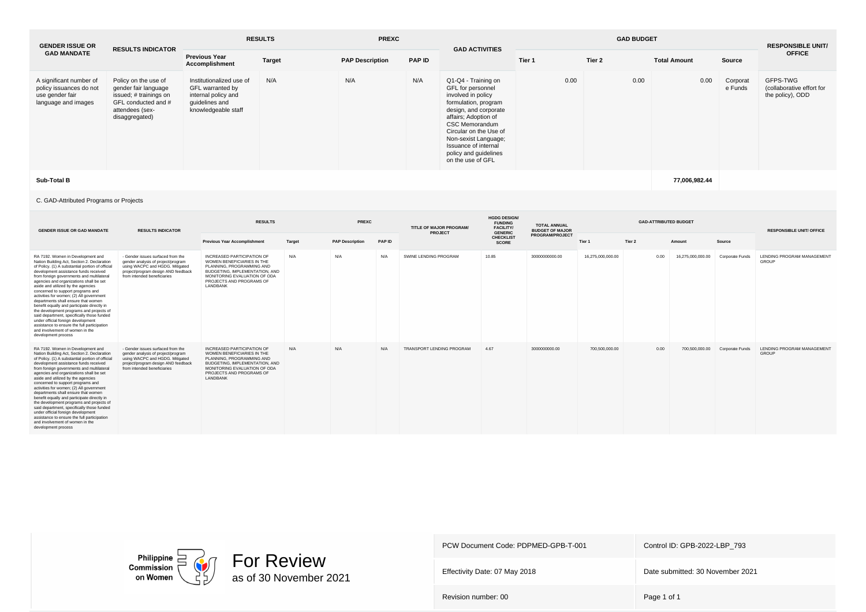| <b>GENDER ISSUE OR</b>                                                                       | <b>RESULTS INDICATOR</b>                                                                                                           | <b>RESULTS</b>                                                                                               |               | <b>PREXC</b>           |               | <b>GAD ACTIVITIES</b>                                                                                                                                                                                                                                                             |        | <b>RESPONSIBLE UNIT/</b> |                     |                     |                                                           |  |
|----------------------------------------------------------------------------------------------|------------------------------------------------------------------------------------------------------------------------------------|--------------------------------------------------------------------------------------------------------------|---------------|------------------------|---------------|-----------------------------------------------------------------------------------------------------------------------------------------------------------------------------------------------------------------------------------------------------------------------------------|--------|--------------------------|---------------------|---------------------|-----------------------------------------------------------|--|
| <b>GAD MANDATE</b>                                                                           |                                                                                                                                    | <b>Previous Year</b><br>Accomplishment                                                                       | <b>Target</b> | <b>PAP Description</b> | <b>PAP ID</b> |                                                                                                                                                                                                                                                                                   | Tier 1 | Tier 2                   | <b>Total Amount</b> | Source              | <b>OFFICE</b>                                             |  |
| A significant number of<br>policy issuances do not<br>use gender fair<br>language and images | Policy on the use of<br>gender fair language<br>issued; # trainings on<br>GFL conducted and #<br>attendees (sex-<br>disaggregated) | Institutionalized use of<br>GFL warranted by<br>internal policy and<br>quidelines and<br>knowledgeable staff | N/A           | N/A                    | N/A           | Q1-Q4 - Training on<br>GFL for personnel<br>involved in policy<br>formulation, program<br>design, and corporate<br>affairs; Adoption of<br>CSC Memorandum<br>Circular on the Use of<br>Non-sexist Language;<br>Issuance of internal<br>policy and guidelines<br>on the use of GFL | 0.00   | 0.00                     | 0.00                | Corporat<br>e Funds | GFPS-TWG<br>(collaborative effort for<br>the policy), ODD |  |
| Sub-Total B                                                                                  |                                                                                                                                    |                                                                                                              |               |                        |               |                                                                                                                                                                                                                                                                                   |        |                          | 77,006,982.44       |                     |                                                           |  |

## C. GAD-Attributed Programs or Projects

| <b>GENDER ISSUE OR GAD MANDATE</b>                                                                                                                                                                                                                                                                                                                                                                                                                                                                                                                                                                                                                                                                                          | <b>RESULTS INDICATOR</b>                                                                                                                                                         | <b>RESULTS</b>                                                                                                                                                                                          |        | PREXC                  |        | TITLE OF MAJOR PROGRAM/<br>PROJECT | <b>HGDG DESIGN/</b><br><b>FUNDING</b><br><b>FACILITY/</b><br><b>GENERIC</b> | <b>TOTAL ANNUAL</b><br><b>BUDGET OF MAJOR</b> |                   | <b>RESPONSIBLE UNIT/ OFFICE</b> |                   |                 |                                            |
|-----------------------------------------------------------------------------------------------------------------------------------------------------------------------------------------------------------------------------------------------------------------------------------------------------------------------------------------------------------------------------------------------------------------------------------------------------------------------------------------------------------------------------------------------------------------------------------------------------------------------------------------------------------------------------------------------------------------------------|----------------------------------------------------------------------------------------------------------------------------------------------------------------------------------|---------------------------------------------------------------------------------------------------------------------------------------------------------------------------------------------------------|--------|------------------------|--------|------------------------------------|-----------------------------------------------------------------------------|-----------------------------------------------|-------------------|---------------------------------|-------------------|-----------------|--------------------------------------------|
|                                                                                                                                                                                                                                                                                                                                                                                                                                                                                                                                                                                                                                                                                                                             |                                                                                                                                                                                  | <b>Previous Year Accomplishment</b>                                                                                                                                                                     | Target | <b>PAP Description</b> | PAP ID |                                    | <b>CHECKLIST</b><br><b>SCORE</b>                                            | <b>PROGRAM/PROJECT</b>                        | Tier 1            | Tier 2                          | Amount            | Source          |                                            |
| RA 7192. Women in Development and<br>Nation Building Act, Section 2. Declaration<br>of Policy. (1) A substantial portion of official<br>development assistance funds received<br>from foreign governments and multilateral<br>agencies and organizations shall be set<br>aside and utilized by the agencies<br>concerned to support programs and<br>activities for women; (2) All government<br>departments shall ensure that women<br>benefit equally and participate directly in<br>the development programs and projects of<br>said department, specifically those funded<br>under official foreign development<br>assistance to ensure the full participation<br>and involvement of women in the<br>development process | - Gender issues surfaced from the<br>gender analysis of project/program<br>using WACPC and HGDG. Mitigated<br>project/program design AND feedback<br>from intended beneficiaries | INCREASED PARTICIPATION OF<br>WOMEN BENEFICIARIES IN THE<br>PLANNING, PROGRAMMING AND<br>BUDGETING, IMPLEMENTATION, AND<br>MONITORING EVALUATION OF ODA<br>PROJECTS AND PROGRAMS OF<br><b>I ANDBANK</b> | N/A    | N/A                    | N/A    | SWINE LENDING PROGRAM              | 10.85                                                                       | 30000000000.00                                | 16.275.000.000.00 | 0.00                            | 16.275.000.000.00 | Corporate Funds | <b>LENDING PROGRAM MANAGEMENT</b><br>GROUP |
| RA 7192. Women in Development and<br>Nation Building Act, Section 2. Declaration<br>of Policy. (1) A substantial portion of official<br>development assistance funds received<br>from foreign governments and multilateral<br>agencies and organizations shall be set<br>aside and utilized by the agencies<br>concerned to support programs and<br>activities for women; (2) All government<br>departments shall ensure that women<br>benefit equally and participate directly in<br>the development programs and projects of<br>said department, specifically those funded<br>under official foreign development<br>assistance to ensure the full participation<br>and involvement of women in the<br>development process | - Gender issues surfaced from the<br>gender analysis of project/program<br>using WACPC and HGDG. Mitigated<br>project/program design AND feedback<br>from intended beneficiaries | INCREASED PARTICIPATION OF<br>WOMEN BENEFICIARIES IN THE<br>PLANNING, PROGRAMMING AND<br>BUDGETING, IMPLEMENTATION, AND<br>MONITORING EVALUATION OF ODA<br>PROJECTS AND PROGRAMS OF<br>LANDBANK         | N/A    | N/A                    | N/A    | TRANSPORT LENDING PROGRAM          | 4.67                                                                        | 3000000000.00                                 | 700.500.000.00    | 0.00                            | 700.500.000.00    | Corporate Funds | <b>LENDING PROGRAM MANAGEMENT</b><br>GROUP |



PCW Document Code: PDPMED-GPB-T-001 Control ID: GPB-2022-LBP\_793

Effectivity Date: 07 May 2018 **Date submitted: 30 November 2021**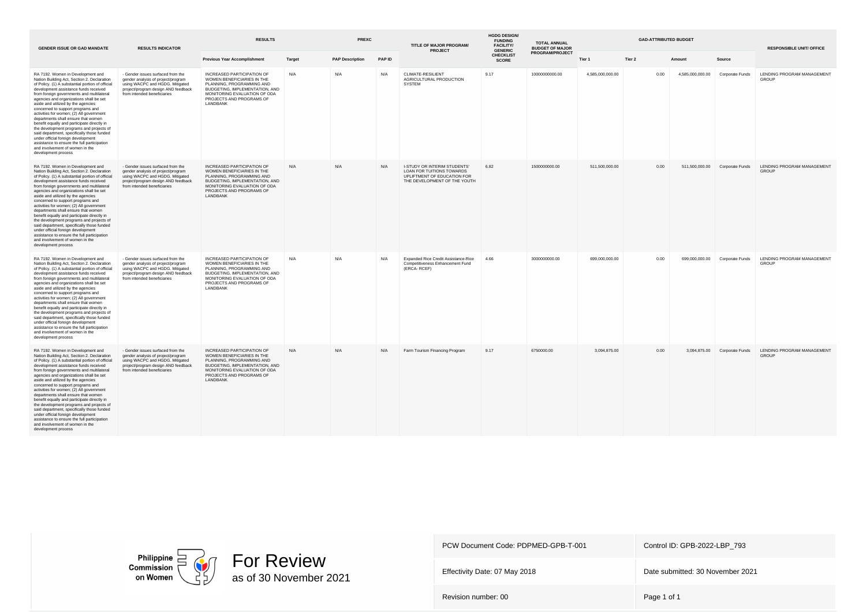| <b>GENDER ISSUE OR GAD MANDATE</b>                                                                                                                                                                                                                                                                                                                                                                                                                                                                                                                                                                                                                                                                                          | <b>RESULTS INDICATOR</b>                                                                                                                                                         | <b>RESULTS</b>                                                                                                                                                                                         |               | <b>PREXC</b>           |        | TITLE OF MAJOR PROGRAM/<br><b>PROJECT</b>                                                                                | <b>HGDG DESIGN/</b><br><b>FUNDING</b><br><b>FACILITY/</b><br><b>GENERIC</b> | <b>TOTAL ANNUAL</b><br><b>BUDGET OF MAJOR</b> | <b>GAD-ATTRIBUTED BUDGET</b> |        |                  |                                | <b>RESPONSIBLE UNIT/ OFFICE</b>            |
|-----------------------------------------------------------------------------------------------------------------------------------------------------------------------------------------------------------------------------------------------------------------------------------------------------------------------------------------------------------------------------------------------------------------------------------------------------------------------------------------------------------------------------------------------------------------------------------------------------------------------------------------------------------------------------------------------------------------------------|----------------------------------------------------------------------------------------------------------------------------------------------------------------------------------|--------------------------------------------------------------------------------------------------------------------------------------------------------------------------------------------------------|---------------|------------------------|--------|--------------------------------------------------------------------------------------------------------------------------|-----------------------------------------------------------------------------|-----------------------------------------------|------------------------------|--------|------------------|--------------------------------|--------------------------------------------|
|                                                                                                                                                                                                                                                                                                                                                                                                                                                                                                                                                                                                                                                                                                                             |                                                                                                                                                                                  | <b>Previous Year Accomplishment</b>                                                                                                                                                                    | <b>Target</b> | <b>PAP Description</b> | PAP ID |                                                                                                                          | <b>CHECKLIST</b><br><b>SCORE</b>                                            | PROGRAM/PROJECT                               | Tier 1                       | Tier 2 | Amount           | Source                         |                                            |
| RA 7192. Women in Development and<br>Nation Building Act, Section 2. Declaration<br>of Policy. (1) A substantial portion of official<br>development assistance funds received<br>from foreign governments and multilateral<br>agencies and organizations shall be set<br>aside and utilized by the agencies<br>concerned to support programs and<br>activities for women; (2) All government<br>departments shall ensure that women<br>benefit equally and participate directly in<br>the development programs and projects of<br>said department, specifically those funded<br>under official foreign development<br>assistance to ensure the full participation<br>and involvement of women in the<br>development process | - Gender issues surfaced from the<br>gender analysis of project/program<br>using WACPC and HGDG. Mitigated<br>project/program design AND feedback<br>from intended beneficiaries | INCREASED PARTICIPATION OF<br>WOMEN BENEFICIARIES IN THE<br>PLANNING, PROGRAMMING AND<br>BUDGETING, IMPLEMENTATION, AND<br>MONITORING EVALUATION OF ODA<br>PROJECTS AND PROGRAMS OF<br>LANDBANK        | N/A           | N/A                    | N/A    | CLIMATE-RESILIENT<br>AGRICULTURAL PRODUCTION<br><b>SYSTEM</b>                                                            | 9.17                                                                        | 10000000000.00                                | 4,585,000,000.00             | 0.00   | 4,585,000,000.00 | Corporate Funds                | LENDING PROGRAM MANAGEMENT<br><b>GROUP</b> |
| RA 7192. Women in Development and<br>Nation Building Act, Section 2. Declaration<br>of Policy. (1) A substantial portion of official<br>development assistance funds received<br>from foreign governments and multilateral<br>agencies and organizations shall be set<br>aside and utilized by the agencies<br>concerned to support programs and<br>activities for women; (2) All government<br>departments shall ensure that women<br>benefit equally and participate directly in<br>the development programs and projects of<br>said department, specifically those funded<br>under official foreign development<br>assistance to ensure the full participation<br>and involvement of women in the<br>development process | - Gender issues surfaced from the<br>gender analysis of project/program<br>using WACPC and HGDG. Mitigated<br>project/program design AND feedback<br>from intended beneficiaries | INCREASED PARTICIPATION OF<br>WOMEN BENEFICIARIES IN THE<br>PLANNING, PROGRAMMING AND<br>BUDGETING, IMPLEMENTATION, AND<br>MONITORING EVALUATION OF ODA<br>PROJECTS AND PROGRAMS OF<br>LANDBANK        | N/A           | N/A                    | N/A    | I-STUDY OR INTERIM STUDENTS'<br>LOAN FOR TUITIONS TOWARDS<br>UPLIFTMENT OF EDUCATION FOR<br>THE DEVELOPMENT OF THE YOUTH | 6.82                                                                        | 1500000000.00                                 | 511,500,000.00               | 0.00   |                  | 511,500,000.00 Corporate Funds | LENDING PROGRAM MANAGEMENT<br><b>GROUP</b> |
| RA 7192. Women in Development and<br>Nation Building Act, Section 2. Declaration<br>of Policy. (1) A substantial portion of official<br>development assistance funds received<br>from foreign governments and multilateral<br>agencies and organizations shall be set<br>aside and utilized by the agencies<br>concerned to support programs and<br>activities for women; (2) All government<br>departments shall ensure that women<br>benefit equally and participate directly in<br>the development programs and projects of<br>said department, specifically those funded<br>under official foreign development<br>assistance to ensure the full participation<br>and involvement of women in the<br>development process | - Gender issues surfaced from the<br>gender analysis of project/program<br>using WACPC and HGDG. Mitigated<br>project/program design AND feedback<br>from intended beneficiaries | INCREASED PARTICIPATION OF<br>WOMEN BENEFICIARIES IN THE<br>PLANNING, PROGRAMMING AND<br>BUDGETING, IMPLEMENTATION, AND<br>MONITORING EVALUATION OF ODA<br>PROJECTS AND PROGRAMS OF<br>LANDBANK        | N/A           | N/A                    | N/A    | Expanded Rice Credit Assistance-Rice<br>Competitiveness Enhancement Fund<br>(ERCA-RCEF)                                  | 4.66                                                                        | 3000000000.00                                 | 699.000.000.00               | 0.00   | 699.000.000.00   | Corporate Funds                | LENDING PROGRAM MANAGEMENT<br><b>GROUP</b> |
| RA 7192. Women in Development and<br>Nation Building Act, Section 2. Declaration<br>of Policy. (1) A substantial portion of official<br>development assistance funds received<br>from foreign governments and multilateral<br>agencies and organizations shall be set<br>aside and utilized by the agencies<br>concerned to support programs and<br>activities for women; (2) All government<br>departments shall ensure that women<br>benefit equally and participate directly in<br>the development programs and projects of<br>said department, specifically those funded<br>under official foreign development<br>assistance to ensure the full participation<br>and involvement of women in the<br>development process | - Gender issues surfaced from the<br>gender analysis of project/program<br>using WACPC and HGDG. Mitigated<br>project/program design AND feedback<br>from intended beneficiaries | <b>INCREASED PARTICIPATION OF</b><br>WOMEN BENEFICIARIES IN THE<br>PLANNING, PROGRAMMING AND<br>BUDGETING, IMPLEMENTATION, AND<br>MONITORING EVALUATION OF ODA<br>PROJECTS AND PROGRAMS OF<br>LANDBANK | N/A           | N/A                    | N/A    | Farm Tourism Financing Program                                                                                           | 9.17                                                                        | 6750000.00                                    | 3,094,875.00                 | 0.00   |                  | 3,094,875.00 Corporate Funds   | LENDING PROGRAM MANAGEMENT<br>GROUP        |



Effectivity Date: 07 May 2018 **Date submitted: 30 November 2021**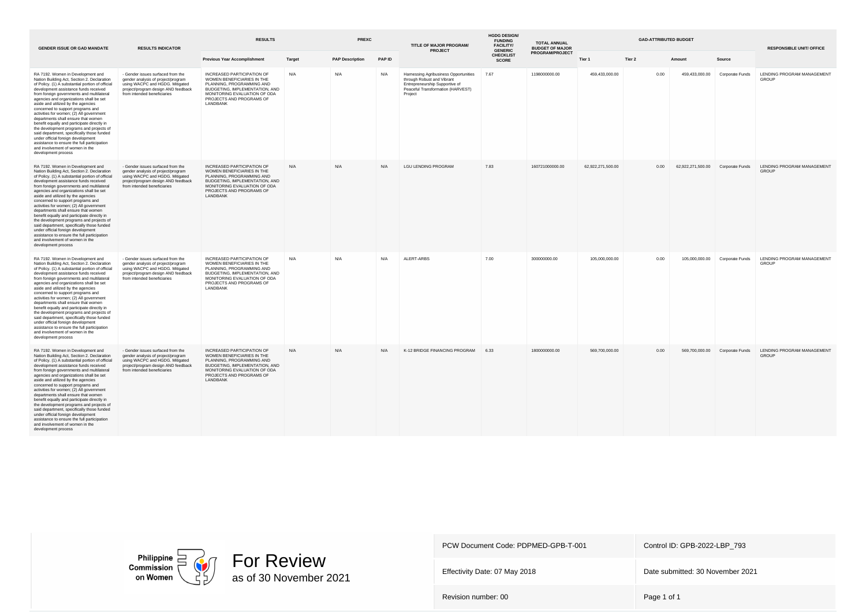| <b>GENDER ISSUE OR GAD MANDATE</b>                                                                                                                                                                                                                                                                                                                                                                                                                                                                                                                                                                                                                                                                                          | <b>RESULTS INDICATOR</b>                                                                                                                                                         | <b>RESULTS</b>                                                                                                                                                                                         |               | <b>PREXC</b>           |            | TITLE OF MAJOR PROGRAM/<br><b>PROJECT</b>                                                                                                             | <b>HGDG DESIGN/</b><br><b>FUNDING</b><br><b>FACILITY/</b><br><b>GENERIC</b> | <b>TOTAL ANNUAL</b><br><b>BUDGET OF MAJOR</b> | <b>GAD-ATTRIBUTED BUDGET</b> |        |                                   |                                | <b>RESPONSIBLE UNIT/ OFFICE</b>            |
|-----------------------------------------------------------------------------------------------------------------------------------------------------------------------------------------------------------------------------------------------------------------------------------------------------------------------------------------------------------------------------------------------------------------------------------------------------------------------------------------------------------------------------------------------------------------------------------------------------------------------------------------------------------------------------------------------------------------------------|----------------------------------------------------------------------------------------------------------------------------------------------------------------------------------|--------------------------------------------------------------------------------------------------------------------------------------------------------------------------------------------------------|---------------|------------------------|------------|-------------------------------------------------------------------------------------------------------------------------------------------------------|-----------------------------------------------------------------------------|-----------------------------------------------|------------------------------|--------|-----------------------------------|--------------------------------|--------------------------------------------|
|                                                                                                                                                                                                                                                                                                                                                                                                                                                                                                                                                                                                                                                                                                                             |                                                                                                                                                                                  | <b>Previous Year Accomplishment</b>                                                                                                                                                                    | <b>Target</b> | <b>PAP Description</b> | PAP ID     |                                                                                                                                                       | <b>CHECKLIST</b><br><b>SCORE</b>                                            | PROGRAM/PROJECT                               | Tier 1                       | Tier 2 | Amount                            | Source                         |                                            |
| RA 7192. Women in Development and<br>Nation Building Act, Section 2. Declaration<br>of Policy. (1) A substantial portion of official<br>development assistance funds received<br>from foreign governments and multilateral<br>agencies and organizations shall be set<br>aside and utilized by the agencies<br>concerned to support programs and<br>activities for women; (2) All government<br>departments shall ensure that women<br>benefit equally and participate directly in<br>the development programs and projects of<br>said department, specifically those funded<br>under official foreign development<br>assistance to ensure the full participation<br>and involvement of women in the<br>development process | - Gender issues surfaced from the<br>gender analysis of project/program<br>using WACPC and HGDG. Mitigated<br>project/program design AND feedback<br>from intended beneficiaries | INCREASED PARTICIPATION OF<br>WOMEN BENEFICIARIES IN THE<br>PLANNING, PROGRAMMING AND<br>BUDGETING, IMPLEMENTATION, AND<br>MONITORING EVALUATION OF ODA<br>PROJECTS AND PROGRAMS OF<br>LANDBANK        | N/A           | N/A                    | N/A        | Harnessing Agribusiness Opportunities<br>through Robust and Vibrant<br>Entrepreneurship Supportive of<br>Peaceful Transformation (HARVEST)<br>Project | 7.67                                                                        | 1198000000.00                                 | 459,433,000.00               | 0.00   | 459,433,000.00                    | Corporate Funds                | LENDING PROGRAM MANAGEMENT<br>GROUP        |
| RA 7192. Women in Development and<br>Nation Building Act, Section 2. Declaration<br>of Policy. (1) A substantial portion of official<br>development assistance funds received<br>from foreign governments and multilateral<br>agencies and organizations shall be set<br>aside and utilized by the agencies<br>concerned to support programs and<br>activities for women; (2) All government<br>departments shall ensure that women<br>benefit equally and participate directly in<br>the development programs and projects of<br>said department, specifically those funded<br>under official foreign development<br>assistance to ensure the full participation<br>and involvement of women in the<br>development process | - Gender issues surfaced from the<br>gender analysis of project/program<br>using WACPC and HGDG. Mitigated<br>project/program design AND feedback<br>from intended beneficiaries | INCREASED PARTICIPATION OF<br>WOMEN BENEFICIARIES IN THE<br>PLANNING, PROGRAMMING AND<br>BUDGETING, IMPLEMENTATION, AND<br>MONITORING EVALUATION OF ODA<br>PROJECTS AND PROGRAMS OF<br>LANDBANK        | N/A           | N/A                    | $N/\Delta$ | <b>LGU LENDING PROGRAM</b>                                                                                                                            | 7.83                                                                        | 160721000000.00                               | 62,922,271,500.00            | 0.00   | 62,922,271,500.00 Corporate Funds |                                | LENDING PROGRAM MANAGEMENT<br><b>GROUP</b> |
| RA 7192. Women in Development and<br>Nation Building Act, Section 2. Declaration<br>of Policy. (1) A substantial portion of official<br>development assistance funds received<br>from foreign governments and multilateral<br>agencies and organizations shall be set<br>aside and utilized by the agencies<br>concerned to support programs and<br>activities for women; (2) All government<br>departments shall ensure that women<br>benefit equally and participate directly in<br>the development programs and projects of<br>said department, specifically those funded<br>under official foreign development<br>assistance to ensure the full participation<br>and involvement of women in the<br>development process | - Gender issues surfaced from the<br>gender analysis of project/program<br>using WACPC and HGDG. Mitigated<br>project/program design AND feedback<br>from intended beneficiaries | INCREASED PARTICIPATION OF<br>WOMEN BENEFICIARIES IN THE<br>PLANNING, PROGRAMMING AND<br>BUDGETING, IMPLEMENTATION, AND<br>MONITORING EVALUATION OF ODA<br>PROJECTS AND PROGRAMS OF<br>LANDBANK        | N/A           | N/A                    | N/A        | ALERT-ARBS                                                                                                                                            | 7.00                                                                        | 300000000.00                                  | 105.000.000.00               | 0.00   |                                   | 105,000,000.00 Corporate Funds | LENDING PROGRAM MANAGEMENT<br><b>GROUP</b> |
| RA 7192. Women in Development and<br>Nation Building Act, Section 2. Declaration<br>of Policy. (1) A substantial portion of official<br>development assistance funds received<br>from foreign governments and multilateral<br>agencies and organizations shall be set<br>aside and utilized by the agencies<br>concerned to support programs and<br>activities for women; (2) All government<br>departments shall ensure that women<br>benefit equally and participate directly in<br>the development programs and projects of<br>said department, specifically those funded<br>under official foreign development<br>assistance to ensure the full participation<br>and involvement of women in the<br>development process | - Gender issues surfaced from the<br>gender analysis of project/program<br>using WACPC and HGDG. Mitigated<br>project/program design AND feedback<br>from intended beneficiaries | <b>INCREASED PARTICIPATION OF</b><br>WOMEN BENEFICIARIES IN THE<br>PLANNING, PROGRAMMING AND<br>BUDGETING, IMPLEMENTATION, AND<br>MONITORING EVALUATION OF ODA<br>PROJECTS AND PROGRAMS OF<br>LANDBANK | N/A           | N/A                    | N/A        | K-12 BRIDGE FINANCING PROGRAM                                                                                                                         | 6.33                                                                        | 1800000000.00                                 | 569,700,000.00               | 0.00   |                                   | 569,700,000.00 Corporate Funds | LENDING PROGRAM MANAGEMENT<br>GROUP        |



Effectivity Date: 07 May 2018 **Date submitted: 30 November 2021**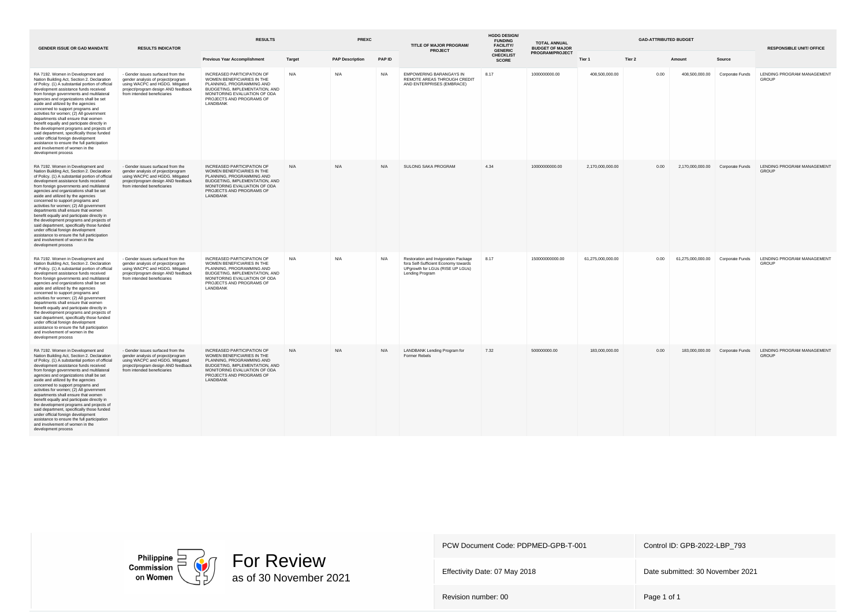| <b>GENDER ISSUE OR GAD MANDATE</b>                                                                                                                                                                                                                                                                                                                                                                                                                                                                                                                                                                                                                                                                                          | <b>RESULTS INDICATOR</b>                                                                                                                                                         | <b>RESULTS</b>                                                                                                                                                                                         |        | <b>PREXC</b>           |        | TITLE OF MAJOR PROGRAM/<br><b>PROJECT</b>                                                                                           | <b>HGDG DESIGN/</b><br><b>FUNDING</b><br><b>FACILITY/</b><br><b>GENERIC</b> | <b>TOTAL ANNUAL</b><br><b>BUDGET OF MAJOR</b> |                   |        | <b>RESPONSIBLE UNIT/ OFFICE</b>   |                                |                                            |
|-----------------------------------------------------------------------------------------------------------------------------------------------------------------------------------------------------------------------------------------------------------------------------------------------------------------------------------------------------------------------------------------------------------------------------------------------------------------------------------------------------------------------------------------------------------------------------------------------------------------------------------------------------------------------------------------------------------------------------|----------------------------------------------------------------------------------------------------------------------------------------------------------------------------------|--------------------------------------------------------------------------------------------------------------------------------------------------------------------------------------------------------|--------|------------------------|--------|-------------------------------------------------------------------------------------------------------------------------------------|-----------------------------------------------------------------------------|-----------------------------------------------|-------------------|--------|-----------------------------------|--------------------------------|--------------------------------------------|
|                                                                                                                                                                                                                                                                                                                                                                                                                                                                                                                                                                                                                                                                                                                             |                                                                                                                                                                                  | <b>Previous Year Accomplishment</b>                                                                                                                                                                    | Target | <b>PAP Description</b> | PAP ID |                                                                                                                                     | <b>CHECKLIST</b><br><b>SCORE</b>                                            | <b>PROGRAM/PROJECT</b>                        | Tier 1            | Tier 2 | Amount                            | Source                         |                                            |
| RA 7192. Women in Development and<br>Nation Building Act, Section 2. Declaration<br>of Policy. (1) A substantial portion of official<br>development assistance funds received<br>from foreign governments and multilateral<br>agencies and organizations shall be set<br>aside and utilized by the agencies<br>concerned to support programs and<br>activities for women; (2) All government<br>departments shall ensure that women<br>benefit equally and participate directly in<br>the development programs and projects of<br>said department, specifically those funded<br>under official foreign development<br>assistance to ensure the full participation<br>and involvement of women in the<br>development process | - Gender issues surfaced from the<br>gender analysis of project/program<br>using WACPC and HGDG. Mitigated<br>project/program design AND feedback<br>from intended beneficiaries | INCREASED PARTICIPATION OF<br>WOMEN BENEFICIARIES IN THE<br>PLANNING, PROGRAMMING AND<br>BUDGETING, IMPLEMENTATION, AND<br>MONITORING EVALUATION OF ODA<br>PROJECTS AND PROGRAMS OF<br>LANDBANK        | N/A    | N/A                    | N/A    | <b>EMPOWERING BARANGAYS IN</b><br>REMOTE AREAS THROUGH CREDIT<br>AND ENTERPRISES (EMBRACE)                                          | 8.17                                                                        | 1000000000.00                                 | 408,500,000.00    | 0.00   | 408,500,000.00                    | Corporate Funds                | LENDING PROGRAM MANAGEMENT<br>GROUP        |
| RA 7192. Women in Development and<br>Nation Building Act, Section 2. Declaration<br>of Policy. (1) A substantial portion of official<br>development assistance funds received<br>from foreign governments and multilateral<br>agencies and organizations shall be set<br>aside and utilized by the agencies<br>concerned to support programs and<br>activities for women; (2) All government<br>departments shall ensure that women<br>benefit equally and participate directly in<br>the development programs and projects of<br>said department, specifically those funded<br>under official foreign development<br>assistance to ensure the full participation<br>and involvement of women in the<br>development process | - Gender issues surfaced from the<br>gender analysis of project/program<br>using WACPC and HGDG. Mitigated<br>project/program design AND feedback<br>from intended beneficiaries | <b>INCREASED PARTICIPATION OF</b><br>WOMEN BENEFICIARIES IN THE<br>PLANNING, PROGRAMMING AND<br>BUDGETING, IMPLEMENTATION, AND<br>MONITORING EVALUATION OF ODA<br>PROJECTS AND PROGRAMS OF<br>LANDBANK | N/A    | N/A                    | N/A    | <b>SULONG SAKA PROGRAM</b>                                                                                                          | 4.34                                                                        | 10000000000.00                                | 2,170,000,000.00  | 0.00   | 2,170,000,000.00 Corporate Funds  |                                | LENDING PROGRAM MANAGEMENT<br><b>GROUP</b> |
| RA 7192. Women in Development and<br>Nation Building Act, Section 2. Declaration<br>of Policy. (1) A substantial portion of official<br>development assistance funds received<br>from foreign governments and multilateral<br>agencies and organizations shall be set<br>aside and utilized by the agencies<br>concerned to support programs and<br>activities for women; (2) All government<br>departments shall ensure that women<br>benefit equally and participate directly in<br>the development programs and projects of<br>said department, specifically those funded<br>under official foreign development<br>assistance to ensure the full participation<br>and involvement of women in the<br>development process | - Gender issues surfaced from the<br>gender analysis of project/program<br>using WACPC and HGDG. Mitigated<br>project/program design AND feedback<br>from intended beneficiaries | INCREASED PARTICIPATION OF<br>WOMEN BENEFICIARIES IN THE<br>PLANNING, PROGRAMMING AND<br>BUDGETING, IMPLEMENTATION, AND<br>MONITORING EVALUATION OF ODA<br>PROJECTS AND PROGRAMS OF<br>LANDBANK        | N/A    | N/A                    | N/A    | Restoration and Invigoration Package<br>fora Self-Sufficient Economy towards<br>UPgrowth for LGUs (RISE UP LGUs)<br>Lending Program | 8.17                                                                        | 150000000000.00                               | 61,275,000,000.00 | 0.00   | 61,275,000,000.00 Corporate Funds |                                | LENDING PROGRAM MANAGEMENT<br>GROUP        |
| RA 7192. Women in Development and<br>Nation Building Act, Section 2. Declaration<br>of Policy. (1) A substantial portion of official<br>development assistance funds received<br>from foreign governments and multilateral<br>agencies and organizations shall be set<br>aside and utilized by the agencies<br>concerned to support programs and<br>activities for women; (2) All government<br>departments shall ensure that women<br>benefit equally and participate directly in<br>the development programs and projects of<br>said department, specifically those funded<br>under official foreign development<br>assistance to ensure the full participation<br>and involvement of women in the<br>development process | - Gender issues surfaced from the<br>gender analysis of project/program<br>using WACPC and HGDG. Mitigated<br>project/program design AND feedback<br>from intended beneficiaries | <b>INCREASED PARTICIPATION OF</b><br>WOMEN BENEFICIARIES IN THE<br>PLANNING, PROGRAMMING AND<br>BUDGETING, IMPLEMENTATION, AND<br>MONITORING EVALUATION OF ODA<br>PROJECTS AND PROGRAMS OF<br>LANDBANK | N/A    | N/A                    | N/A    | LANDBANK Lending Program for<br><b>Former Rebels</b>                                                                                | 7.32                                                                        | 500000000.00                                  | 183,000,000,00    | 0.00   |                                   | 183,000,000,00 Corporate Funds | LENDING PROGRAM MANAGEMENT<br><b>GROUP</b> |





Effectivity Date: 07 May 2018 **Date submitted: 30 November 2021**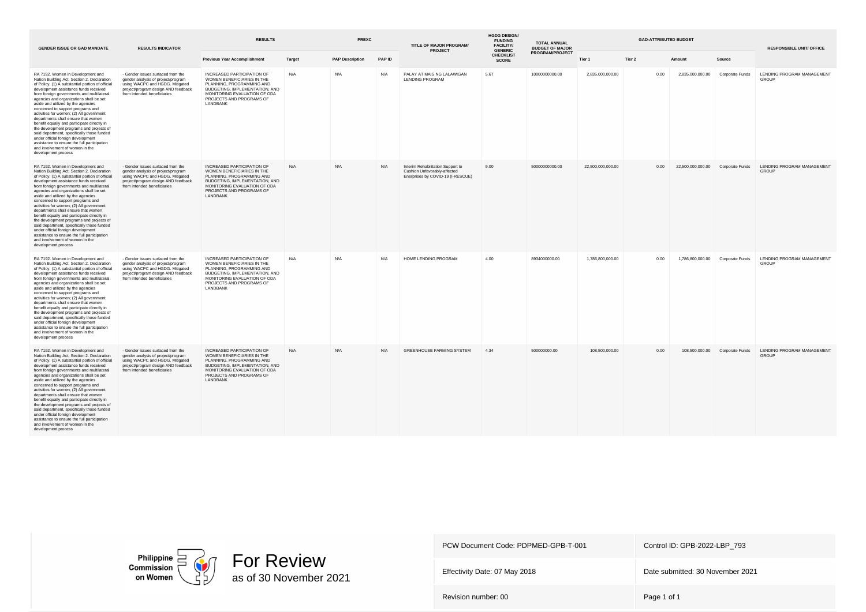| <b>GENDER ISSUE OR GAD MANDATE</b>                                                                                                                                                                                                                                                                                                                                                                                                                                                                                                                                                                                                                                                                                          | <b>RESULTS INDICATOR</b>                                                                                                                                                         | <b>RESULTS</b>                                                                                                                                                                                         |        | <b>PREXC</b>           |        | TITLE OF MAJOR PROGRAM/<br><b>PROJECT</b>                                                              | <b>HGDG DESIGN/</b><br><b>FUNDING</b><br><b>FACILITY/</b><br><b>GENERIC</b> | <b>TOTAL ANNUAL</b><br><b>BUDGET OF MAJOR</b> | <b>GAD-ATTRIBUTED BUDGET</b> |        |                                   |                                  | <b>RESPONSIBLE UNIT/ OFFICE</b>            |
|-----------------------------------------------------------------------------------------------------------------------------------------------------------------------------------------------------------------------------------------------------------------------------------------------------------------------------------------------------------------------------------------------------------------------------------------------------------------------------------------------------------------------------------------------------------------------------------------------------------------------------------------------------------------------------------------------------------------------------|----------------------------------------------------------------------------------------------------------------------------------------------------------------------------------|--------------------------------------------------------------------------------------------------------------------------------------------------------------------------------------------------------|--------|------------------------|--------|--------------------------------------------------------------------------------------------------------|-----------------------------------------------------------------------------|-----------------------------------------------|------------------------------|--------|-----------------------------------|----------------------------------|--------------------------------------------|
|                                                                                                                                                                                                                                                                                                                                                                                                                                                                                                                                                                                                                                                                                                                             |                                                                                                                                                                                  | <b>Previous Year Accomplishment</b>                                                                                                                                                                    | Target | <b>PAP Description</b> | PAP ID |                                                                                                        | <b>CHECKLIST</b><br><b>SCORE</b>                                            | PROGRAM/PROJECT                               | Tier 1                       | Tier 2 | Amount                            | Source                           |                                            |
| RA 7192. Women in Development and<br>Nation Building Act, Section 2. Declaration<br>of Policy. (1) A substantial portion of official<br>development assistance funds received<br>from foreign governments and multilateral<br>agencies and organizations shall be set<br>aside and utilized by the agencies<br>concerned to support programs and<br>activities for women; (2) All government<br>departments shall ensure that women<br>benefit equally and participate directly in<br>the development programs and projects of<br>said department, specifically those funded<br>under official foreign development<br>assistance to ensure the full participation<br>and involvement of women in the<br>development process | - Gender issues surfaced from the<br>gender analysis of project/program<br>using WACPC and HGDG. Mitigated<br>project/program design AND feedback<br>from intended beneficiaries | INCREASED PARTICIPATION OF<br>WOMEN BENEFICIARIES IN THE<br>PLANNING, PROGRAMMING AND<br>BUDGETING, IMPLEMENTATION, AND<br>MONITORING EVALUATION OF ODA<br>PROJECTS AND PROGRAMS OF<br>LANDBANK        | N/A    | N/A                    | N/A    | PALAY AT MAIS NG LALAWIGAN<br><b>LENDING PROGRAM</b>                                                   | 5.67                                                                        | 10000000000.00                                | 2,835,000,000.00             | 0.00   | 2,835,000,000.00                  | Corporate Funds                  | LENDING PROGRAM MANAGEMENT<br><b>GROUP</b> |
| RA 7192. Women in Development and<br>Nation Building Act, Section 2. Declaration<br>of Policy. (1) A substantial portion of official<br>development assistance funds received<br>from foreign governments and multilateral<br>agencies and organizations shall be set<br>aside and utilized by the agencies<br>concerned to support programs and<br>activities for women; (2) All government<br>departments shall ensure that women<br>benefit equally and participate directly in<br>the development programs and projects of<br>said department, specifically those funded<br>under official foreign development<br>assistance to ensure the full participation<br>and involvement of women in the<br>development process | - Gender issues surfaced from the<br>gender analysis of project/program<br>using WACPC and HGDG. Mitigated<br>project/program design AND feedback<br>from intended beneficiaries | INCREASED PARTICIPATION OF<br>WOMEN BENEFICIARIES IN THE<br>PLANNING, PROGRAMMING AND<br>BUDGETING, IMPLEMENTATION, AND<br>MONITORING EVALUATION OF ODA<br>PROJECTS AND PROGRAMS OF<br>LANDBANK        | N/A    | N/A                    | N/A    | Interim Rehabilitation Support to<br>Cushion Unfavorably-affected<br>Enerprises by COVID-19 (I-RESCUE) | 9.00                                                                        | 50000000000.00                                | 22,500,000,000.00            | 0.00   | 22,500,000,000.00 Corporate Funds |                                  | LENDING PROGRAM MANAGEMENT<br><b>GROUP</b> |
| RA 7192. Women in Development and<br>Nation Building Act, Section 2. Declaration<br>of Policy. (1) A substantial portion of official<br>development assistance funds received<br>from foreign governments and multilateral<br>agencies and organizations shall be set<br>aside and utilized by the agencies<br>concerned to support programs and<br>activities for women; (2) All government<br>departments shall ensure that women<br>benefit equally and participate directly in<br>the development programs and projects of<br>said department, specifically those funded<br>under official foreign development<br>assistance to ensure the full participation<br>and involvement of women in the<br>development process | - Gender issues surfaced from the<br>gender analysis of project/program<br>using WACPC and HGDG. Mitigated<br>project/program design AND feedback<br>from intended beneficiaries | INCREASED PARTICIPATION OF<br>WOMEN BENEFICIARIES IN THE<br>PLANNING, PROGRAMMING AND<br>BUDGETING, IMPLEMENTATION, AND<br>MONITORING EVALUATION OF ODA<br>PROJECTS AND PROGRAMS OF<br>LANDBANK        | N/A    | N/A                    | N/A    | HOME LENDING PROGRAM                                                                                   | 4.00                                                                        | 8934000000.00                                 | 1,786,800,000,00             | 0.00   |                                   | 1,786,800,000.00 Corporate Funds | LENDING PROGRAM MANAGEMENT<br>GROUP        |
| RA 7192. Women in Development and<br>Nation Building Act, Section 2. Declaration<br>of Policy. (1) A substantial portion of official<br>development assistance funds received<br>from foreign governments and multilateral<br>agencies and organizations shall be set<br>aside and utilized by the agencies<br>concerned to support programs and<br>activities for women; (2) All government<br>departments shall ensure that women<br>benefit equally and participate directly in<br>the development programs and projects of<br>said department, specifically those funded<br>under official foreign development<br>assistance to ensure the full participation<br>and involvement of women in the<br>development process | - Gender issues surfaced from the<br>gender analysis of project/program<br>using WACPC and HGDG. Mitigated<br>project/program design AND feedback<br>from intended beneficiaries | <b>INCREASED PARTICIPATION OF</b><br>WOMEN BENEFICIARIES IN THE<br>PLANNING, PROGRAMMING AND<br>BUDGETING, IMPLEMENTATION, AND<br>MONITORING EVALUATION OF ODA<br>PROJECTS AND PROGRAMS OF<br>LANDBANK | N/A    | N/A                    | N/A    | GREENHOUSE FARMING SYSTEM                                                                              | 4.34                                                                        | 500000000.00                                  | 108,500,000.00               | 0.00   |                                   | 108,500,000.00 Corporate Funds   | LENDING PROGRAM MANAGEMENT<br>GROUP        |



Effectivity Date: 07 May 2018 **Date submitted: 30 November 2021**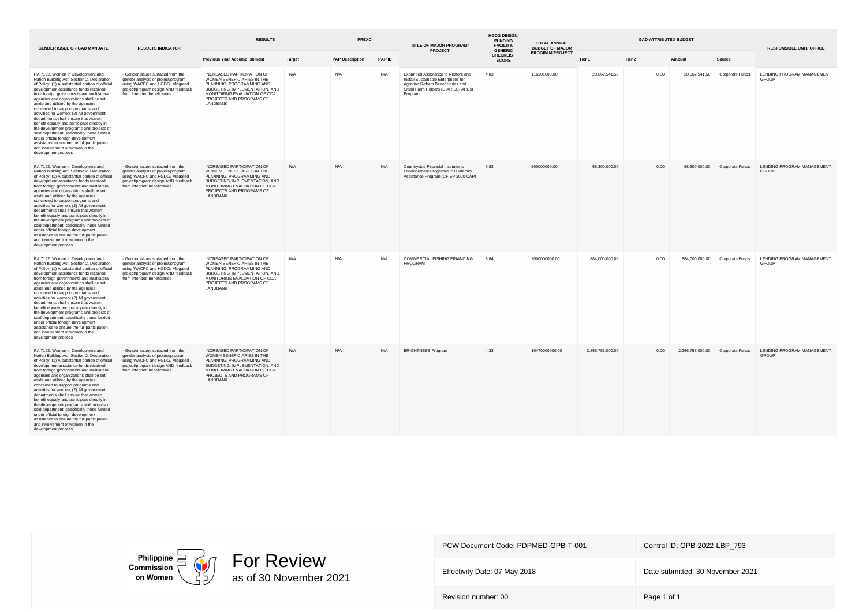| <b>GENDER ISSUE OR GAD MANDATE</b>                                                                                                                                                                                                                                                                                                                                                                                                                                                                                                                                                                                                                                                                                          | <b>RESULTS INDICATOR</b>                                                                                                                                                         | <b>RESULTS</b>                                                                                                                                                                                         |        | <b>PREXC</b>           |        | TITLE OF MAJOR PROGRAM/<br><b>PROJECT</b>                                                                                                                       | <b>HGDG DESIGN/</b><br><b>FUNDING</b><br><b>FACILITY/</b><br><b>GENERIC</b> | <b>TOTAL ANNUAL</b><br><b>BUDGET OF MAJOR</b> |                  |        | <b>RESPONSIBLE UNIT/ OFFICE</b>  |                               |                                            |
|-----------------------------------------------------------------------------------------------------------------------------------------------------------------------------------------------------------------------------------------------------------------------------------------------------------------------------------------------------------------------------------------------------------------------------------------------------------------------------------------------------------------------------------------------------------------------------------------------------------------------------------------------------------------------------------------------------------------------------|----------------------------------------------------------------------------------------------------------------------------------------------------------------------------------|--------------------------------------------------------------------------------------------------------------------------------------------------------------------------------------------------------|--------|------------------------|--------|-----------------------------------------------------------------------------------------------------------------------------------------------------------------|-----------------------------------------------------------------------------|-----------------------------------------------|------------------|--------|----------------------------------|-------------------------------|--------------------------------------------|
|                                                                                                                                                                                                                                                                                                                                                                                                                                                                                                                                                                                                                                                                                                                             |                                                                                                                                                                                  | <b>Previous Year Accomplishment</b>                                                                                                                                                                    | Target | <b>PAP Description</b> | PAP ID |                                                                                                                                                                 | <b>CHECKLIST</b><br><b>SCORE</b>                                            | PROGRAM/PROJECT                               | Tier 1           | Tier 2 | Amount                           | Source                        |                                            |
| RA 7192. Women in Development and<br>Nation Building Act, Section 2. Declaration<br>of Policy. (1) A substantial portion of official<br>development assistance funds received<br>from foreign governments and multilateral<br>agencies and organizations shall be set<br>aside and utilized by the agencies<br>concerned to support programs and<br>activities for women; (2) All government<br>departments shall ensure that women<br>benefit equally and participate directly in<br>the development programs and projects of<br>said department, specifically those funded<br>under official foreign development<br>assistance to ensure the full participation<br>and involvement of women in the<br>development process | - Gender issues surfaced from the<br>gender analysis of project/program<br>using WACPC and HGDG. Mitigated<br>project/program design AND feedback<br>from intended beneficiaries | INCREASED PARTICIPATION OF<br>WOMEN BENEFICIARIES IN THE<br>PLANNING, PROGRAMMING AND<br>BUDGETING, IMPLEMENTATION, AND<br>MONITORING EVALUATION OF ODA<br>PROJECTS AND PROGRAMS OF<br>LANDBANK        | N/A    | N/A                    | N/A    | Expanded Assistance to Restore and<br>Install Sustainable Enterprises for<br>Agrarian Reform Beneficiaries and<br>Small Farm Holders (E-ARISE- ARBs)<br>Program | 4.83                                                                        | 116201000.00                                  | 28,062,541.50    | 0.00   | 28,062,541.50                    | Corporate Funds               | LENDING PROGRAM MANAGEMENT<br><b>GROUP</b> |
| RA 7192. Women in Development and<br>Nation Building Act, Section 2. Declaration<br>of Policy. (1) A substantial portion of official<br>development assistance funds received<br>from foreign governments and multilateral<br>agencies and organizations shall be set<br>aside and utilized by the agencies<br>concerned to support programs and<br>activities for women; (2) All government<br>departments shall ensure that women<br>benefit equally and participate directly in<br>the development programs and projects of<br>said department, specifically those funded<br>under official foreign development<br>assistance to ensure the full participation<br>and involvement of women in the<br>development process | - Gender issues surfaced from the<br>gender analysis of project/program<br>using WACPC and HGDG. Mitigated<br>project/program design AND feedback<br>from intended beneficiaries | INCREASED PARTICIPATION OF<br>WOMEN BENEFICIARIES IN THE<br>PLANNING, PROGRAMMING AND<br>BUDGETING, IMPLEMENTATION, AND<br>MONITORING EVALUATION OF ODA<br>PROJECTS AND PROGRAMS OF<br>LANDBANK        | N/A    | N/A                    | N/A    | Countryside Financial Institutions<br>Enhancement Program2020 Calamity<br>Assistance Program (CFIEP 2020 CAP)                                                   | 6.83                                                                        | 200000000.00                                  | 68,300,000.00    | 0.00   |                                  | 68,300,000.00 Corporate Funds | LENDING PROGRAM MANAGEMENT<br><b>GROUP</b> |
| RA 7192. Women in Development and<br>Nation Building Act, Section 2. Declaration<br>of Policy. (1) A substantial portion of official<br>development assistance funds received<br>from foreign governments and multilateral<br>agencies and organizations shall be set<br>aside and utilized by the agencies<br>concerned to support programs and<br>activities for women; (2) All government<br>departments shall ensure that women<br>benefit equally and participate directly in<br>the development programs and projects of<br>said department, specifically those funded<br>under official foreign development<br>assistance to ensure the full participation<br>and involvement of women in the<br>development process | - Gender issues surfaced from the<br>gender analysis of project/program<br>using WACPC and HGDG. Mitigated<br>project/program design AND feedback<br>from intended beneficiaries | INCREASED PARTICIPATION OF<br>WOMEN BENEFICIARIES IN THE<br>PLANNING, PROGRAMMING AND<br>BUDGETING, IMPLEMENTATION, AND<br>MONITORING EVALUATION OF ODA<br>PROJECTS AND PROGRAMS OF<br>LANDBANK        | N/A    | N/A                    | N/A    | COMMERCIAL FISHING FINANCING<br>PROGRAM                                                                                                                         | 8.84                                                                        | 2000000000.00                                 | 884.000.000.00   | 0.00   | 884.000.000.00                   | Corporate Funds               | LENDING PROGRAM MANAGEMENT<br><b>GROUP</b> |
| RA 7192. Women in Development and<br>Nation Building Act, Section 2. Declaration<br>of Policy. (1) A substantial portion of official<br>development assistance funds received<br>from foreign governments and multilateral<br>agencies and organizations shall be set<br>aside and utilized by the agencies<br>concerned to support programs and<br>activities for women; (2) All government<br>departments shall ensure that women<br>benefit equally and participate directly in<br>the development programs and projects of<br>said department, specifically those funded<br>under official foreign development<br>assistance to ensure the full participation<br>and involvement of women in the<br>development process | - Gender issues surfaced from the<br>gender analysis of project/program<br>using WACPC and HGDG. Mitigated<br>project/program design AND feedback<br>from intended beneficiaries | <b>INCREASED PARTICIPATION OF</b><br>WOMEN BENEFICIARIES IN THE<br>PLANNING, PROGRAMMING AND<br>BUDGETING, IMPLEMENTATION, AND<br>MONITORING EVALUATION OF ODA<br>PROJECTS AND PROGRAMS OF<br>LANDBANK | N/A    | N/A                    | N/A    | <b>BRIGHTNESS Program</b>                                                                                                                                       | 4.33                                                                        | 10470000000.00                                | 2,266,755,000.00 | 0.00   | 2,266,755,000.00 Corporate Funds |                               | LENDING PROGRAM MANAGEMENT<br>GROUP        |



Effectivity Date: 07 May 2018 **Date submitted: 30 November 2021**